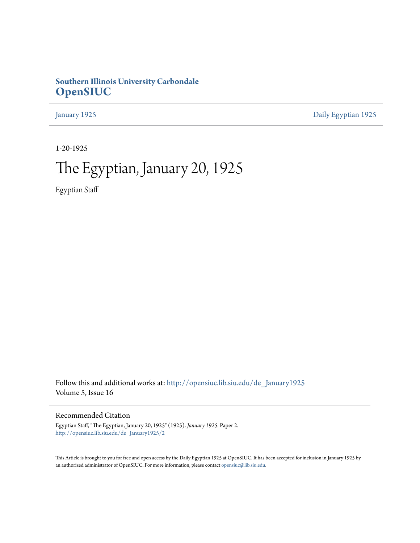## **Southern Illinois University Carbondale [OpenSIUC](http://opensiuc.lib.siu.edu?utm_source=opensiuc.lib.siu.edu%2Fde_January1925%2F2&utm_medium=PDF&utm_campaign=PDFCoverPages)**

[January 1925](http://opensiuc.lib.siu.edu/de_January1925?utm_source=opensiuc.lib.siu.edu%2Fde_January1925%2F2&utm_medium=PDF&utm_campaign=PDFCoverPages) [Daily Egyptian 1925](http://opensiuc.lib.siu.edu/de_1925?utm_source=opensiuc.lib.siu.edu%2Fde_January1925%2F2&utm_medium=PDF&utm_campaign=PDFCoverPages)

1-20-1925

## The Egyptian, January 20, 1925

Egyptian Staff

Follow this and additional works at: [http://opensiuc.lib.siu.edu/de\\_January1925](http://opensiuc.lib.siu.edu/de_January1925?utm_source=opensiuc.lib.siu.edu%2Fde_January1925%2F2&utm_medium=PDF&utm_campaign=PDFCoverPages) Volume 5, Issue 16

Recommended Citation

Egyptian Staff, "The Egyptian, January 20, 1925" (1925). *January 1925.* Paper 2. [http://opensiuc.lib.siu.edu/de\\_January1925/2](http://opensiuc.lib.siu.edu/de_January1925/2?utm_source=opensiuc.lib.siu.edu%2Fde_January1925%2F2&utm_medium=PDF&utm_campaign=PDFCoverPages)

This Article is brought to you for free and open access by the Daily Egyptian 1925 at OpenSIUC. It has been accepted for inclusion in January 1925 by an authorized administrator of OpenSIUC. For more information, please contact [opensiuc@lib.siu.edu.](mailto:opensiuc@lib.siu.edu)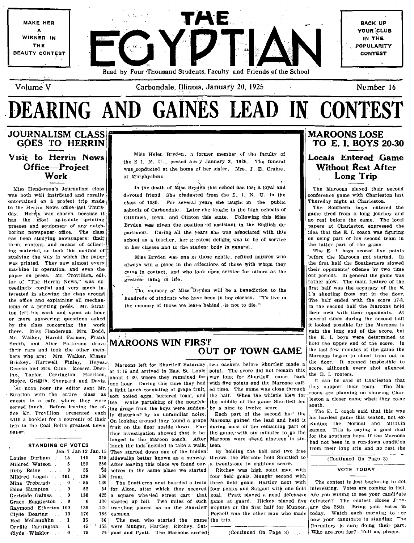

# DEARING AND GAINES LEAD IN CONTEST

## **JOURNALISM CLASS GOES TO HERRIN** Visit to Herrin News Office-Project Work

Miss Henderson's Journalism class was both well instructed and royally entertained on å project trip made to the Herrin News office last Thursday. Herrin was chosen, because it has the most up-to-date printing presses and equipment of any neighboring newspaper office. The class has been studying newspapers: theirform, content, and means of collecting material, so took this method of studying the way in which the paper was printed. They saw almost every machine in operation, and even the paper on press. Mr. Trovillion, editor of "The Herrin News," was exceedingly cordial and very much interested in showing the class around the office and explaining all mechanisms of a printing press. Mr. Stratton left his work and spent an hour or more answering questions asked by the class concerning the work there. Miss Henderson, Mrs. Dodd. Mr. Walker, Harold Farmer, Frank Smith, and Alice Patterson drove their cars and took the other members who are: Mrs. Walker, Misses Brickey, Hartwell, Finley, Hayes, Deason and Mrs. Cline. Messrs. Deering, Taylor, Carrington, Harrison, Moore, Griffith, Sheppard and Davis.

served lunch. Before leaving the office Mr. Trovillion presented each with a booklet for a souvenir of their trip to the Coal Belt's greatest newspaper.  $\,$ 

#### STANDING OF VOTES Ian 7 Jan 12 Jan. 15

| Louise Durham $\therefore$ 15 |   | 145  | 245        |
|-------------------------------|---|------|------------|
| Mildred Watson. 5             |   | 150  | 250        |
| Ruby Baine                    | 0 | 55   | - 55       |
| Mildred Logan . 101           |   | 136  | 136        |
| Mina Trobaugh                 | 0 | - 55 | 120        |
| Edna Hampton $\ldots$ 0       |   | 52   | 54         |
| Gertrude Gaines 0             |   | 130  | 425        |
| Grace Eaggleston. 0           |   | 0    | 130        |
| Raymond Etherton 100          |   | 130  | .120       |
| Clyde Dearing 10              |   | 176  | 186        |
| Red McLaughlin 1              |   |      | 36<br>35 — |
| Orville Carrington. 1         |   |      | 45 '155    |
|                               |   |      | 75         |

Miss Helen Bryden, a former member of the faculty of the S I. N. U., psssed away January 3, 1925. The funeral was conducted at the home of her sister, Mrs. J. E. Craine, of Murphysboro.

In the death of Miss Bryden this school has lost a loyal and devoted friend. She graduated from the S. I. N. U. in the class of 1885. For several years she taught in the public schools of Carbondale. Later she taught in the high schools of Ottumwa, Iowa, and Clinton this state. Following this Miss Bryden was given the position of assistant in the English department. During all the years she was associated with this school as a teacher, her greatest delight, was to be of service in her classes and to the student body in general.

Miss Bryden was one of those gentle, refined natures who always win a place in the affections of those with whom they came in contact, and who look upon service for others as the greatest thing in life.

The memory of Miss Bryden will be a benediction to the hundreds of students who have been in her classes. "To live in the memory of those we leave behind, is not to die."

## **MAROONS WIN FIRST OUT OF TOWN GAME**

Maroons left for Shurtleff Saturday two baskets before Shurtleff made a at 1:15 and arrived in East St. Louis point. The score did not remain this about 4:30, where they remained for one hour. During this time they had At noon hour the editor sent Mr.  $|a|$  light lunch consisting of grape fruit, Stration with the entire class as  $\frac{1}{\text{soft}}$  boiled eggs, buttered toast, and guests to a cafe, where they were tea. While partaking of the nourishing grape fruit the boys were suddenly disturbed by an unfamiliar noise. On looking around they found a grape fruit on the floor upside down. Further investigation showed that it be longed to the Maroon coach. After lunch the lads decided to take a walk. They started down one of the hidden sidewalks better known as a subway. After leaving this place we found ourselves in the same place we started from.

20 The Southerns next boarded a train for Alton, atter which they secured four points and Satgast with one field a square wheeled street cart that goal. Pyatt played a good defensive 25 30 started up hill. Two miles of such travoling placed us on the Shurtleff  $20^{\circ}$ 86 campus. 36 The men who started the game

were Munger, Hartley, Ritchey, Sat-55 75 gast and Pyatt. The Maroons scored

way long for Shurtleff came back with five points and the Maroons called time. The game was close through the half. When the whistle blew for the middle of the game Shurtleff led by a nine to twelve score.

Each part of the second half the Maroons gained the lead and held it during most of the remaining part of the game, with six minutes to go the Maroons were ahead nineteen to sixteen.

By holding the ball and two free throws, the Maroons held Shurtleff to a twenty-one to eighteen score.

Ritchey was high point man with four field goals, Munger second with three field goals, Hartley next with game at guard. Hickey played five minutes of the first half for Munger. Pernell was the other man who made the trip.

## **MAROONS LOSE** TO E. I. BOYS 20-30 Locals Entered Game **Without Rest After** Long Trip

The Maroons played their second conference game with Charleston last Thursday night at Charleston.

The Southern boys entered the game tired from a long journey and no rest before the game. The local papers at Charleston expressed the idea that the E. I. coach was figuring on using part of his second team in the latter part of the game.

The E. I. boys scored five points before the Maroons got started. In the first half the Southerners slowed their opponents' offense by two time out periods. In general the game was rather slow. The main feature of the first half was the accuracy of the E. I.'s shooting from out in the floor. The half ended with the score 17-8. In the second half the Maroons held their own with their opponents. At several times during the second half it looked possible for the Maroons to gain the long end of the score, but the E. I. boys were determined to hold the upper end of the score. In the last few minutes of the game the Maroons began to shoot from out in the floor. It seemed impossible to score, although every shot silenced the E. I. rooters.

It can be said of Charleston that they support their team. The Maroons are planning on showing Charleston a closer game when they come south.

The E. I. coach said that this was his hardest game this season, not excluding the Normal and Millil.in games. This is saying a good deal for the southern boys. If the Maroons had not been in a run-down condition from their long trip and no rest the

(Continued On Page 3)

### VOTE TODAY

The contest is just beginning to get interesting. Votes are coming in fast. Are you willing to see your candidate defeated? The contest closes John. ary the 28th. Bring your votes in today. Watch each morning to see how your candidate is standing. The Dormitory is sure doing their part. (Continued On Page 3) ... Who are you for ?- Tell us, please.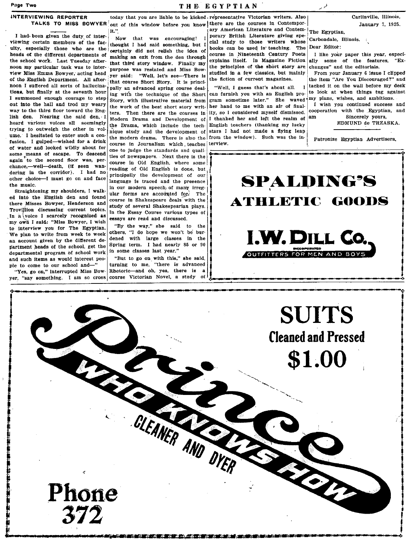### THE EGYPTIAN

## **INTERVIEWING REPORTER**

I had been given the duty of inter viewing certain members of the faculty, especially those who are the heads of the different departments of the school work. Last Tuesday afternoon my particular task was to interview Miss Emma Bowyer, acting head of the English Department. All afternoon I suffered all sorts of hallucinations, but finally at the seventh hour I summoned enough courage to step out into the hall and trod my weary way to the third floor toward the English den. Nearing the said den, I heard various voices all seemingly trying to outweigh the other in volume. I hesitated to enter such a confusion. I gulped-wished for a drink of water and looked wildly about for some means of escape. To descend again to the second floor was, perchance,-well-death, (if seen wandering in the corridor). I had no other choice-I must go on and face the music.

Straightening my shoulders, I walked into the English den and found there Misses Bowyer, Henderson and Trovillion discussing current topics. In a voice I scarcely recognized as my own I said: "Miss Bowyer, I wish to interview you for The Egyptian. We plan to write from week to week an account given by the different department heads of the school, get the departmental program of school work and such items as would interest people to come to our school and-"

"Yes, go on," interrupted Miss Bowyer, "say something. I am so cross course Victorian Novel, a study of

372

TALKS TO MISS BOWYER out of this window before you know there are the courses in Contemporlit."

> Now that was encouraging! thought I had said something, but I certainly did not relish the idea of making an exit from the den through that third story window. Finally my purpose was restated and Miss Bowyer said: "Well, let's see-There is that course Short Story. It is principally an advanced spring course dealing with the technique of the Short Story, with illustrative material from the work of the best short story writ- her hand to me with an air of finalters. Then there are the courses in ity, so I considered myself dismissed. Modern Drama and Development of the Drama, which include the technique study and the development of stars I had not made a flying lean the modern drama. There is also the from the window). Such was the incourse in Journalism which teaches terview. one to judge the standards and qualities of newspapers. Next there is the course in Old English, where some reading of Old English is done, but principally the development of our language is traced and the presence in our modern speech of many irregular forms are accounted for. The course in Shakespeare deals with the study of several Shakespearian plays. In the Essay Course various types of essays are read and discussed.

"By the way," she said to the others. "I do hope we won't be burdened with large classes in the Spring term. I had nearly 85 or 90 in some classes last year.'

"But to go on with this," she said, turning to me, "there is advanced Rhetoric-and oh, yes, there is a

today that you are liable to be kicked representative Victorian writers. Also ary American Literature and Contem-The Egyptian, porary British Literature giving special study to those writers whose

books can be used in teaching. The course in Nineteenth Century Poets explains itself. In Magazine Fiction the principles of the short story are studied in a few classics, but mainly the fiction of current magazines.

"Well, I guess that's about all.  $\mathbf{I}$ can furnish you with an English program sometime later." She waved I thanked her and left the realm of English teachers (thanking my lucky

Carlinville, Illinois,

January 7, 1925.

Carbondale, Illinois.

Dear Editor:

I like your paper this year, especially some of the features, "Exchanges" and the editorials.

From your January 6 issue I clipped the item "Are You Discouraged?" and tacked it on the wall before my desk to look at when things tug against my plans, wishes, and ambitions.

I wish you continued success and cooperation with the Egyptian, and Sincerely yours, am

EDMUND de TRZASKA.

Patronize Egyptian Advertisers,



**SUITS Cleaned and Pressed** \$1.00 CLEANER AND DYER Phone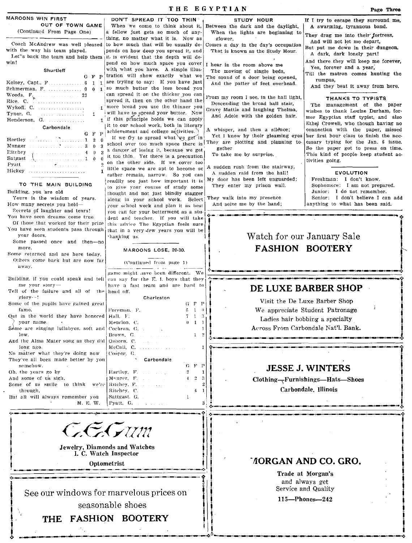| MAROONS WIN FIRST<br>DON'T SPREAD IT TOO THIN<br><b>STUDY HOUR</b><br>OUT OF TOWN GAME<br>When we come to think about it.<br>Between the dark and the daylight,<br>A swarming, tyrannous band.<br>(Continued From Page One)<br>a fellow just gets so much of any-<br>When the lights are beginning to<br>They drag me into their fortress,<br>thing, no matter what it is. Now as<br>glower.<br>And will not let me depart,<br>Coach McAndrew was well pleased<br>to how much that will be usually de-<br>Comes a day in the day's occupation<br>But put me down in their dungeon.<br>with the way his team played.<br>pends on how deep you spread it, and<br>That is known as the Study Hour.<br>A dark, dark lonely part!<br>Let"s back the team and help them it is evident that the depth will de-<br>And there they will keep me forever,<br>win!<br>pend on how much space you cover<br>I hear in the room above me<br>Yes, forever and a year,<br>with what you have. A simple illus-<br>Shurtleff<br>The moving of single beds,<br>$G \times P$ itration will show exactly what we<br>The sound of a door being opened,<br>rumpus,<br>are tryiing to say: If you have just<br>And the patter of feet overhead.<br>And they beat it away from here.<br>so much butter the less bread you<br>can spread it on the thicker you can<br>Woods, F. Martin 22<br>From my room I see, in the hall light,<br><b>THANKS TO TYPISTS</b><br>spread it, then on the other hand the<br>Rice, C. $\sum_{i=1}^{n}$<br>Descending the broad hall stair,<br>The management of the paper<br>'more bread you use the thinner you<br>Grave Mattie and laughing Thelma,<br>wishes to thank Louise Durham, for-<br>will have to spread your butter. Now<br>Tyner, G.<br>.<br>$\mathbf{1}$<br>And Adele with the golden hair.<br>if this principle holds we can apply<br>Henderson, G.<br>it to our school work, both in literary<br>Carbondale<br>A whisper, and then a silence;<br>connection with the paper, missed<br>G F P achievement and college activities.<br>Yet I know by their gleaming eyes<br>If we try to spread what we get in<br>. 1 2<br>Hartley<br>$\theta$<br>They are plotting and planning to<br>school over too much space there is!<br>$\mathbf{R}$<br>Munger<br>So the paper got to press on time.<br>gether<br>a danger of losing it, because we get<br>$\overline{2}$<br>Ritchey<br>$\sim$ 4 $\sim$<br>$\mathbf{0}$<br>To take me by surprise.<br>This kind of people keep student ac-<br>it too thin. Yet there is a precaution<br>$\setminus \ldots \ldots \ldots \ldots \ldots \ldots 1 \quad 0$ .<br>$\Omega$<br>Satgast<br>tivities going.<br>on the other side. If we cover too!<br>Pyatt<br>$\label{eq:2.1} \mathcal{L}_{\mathcal{A}}(\mathcal{A},\mathcal{A})=\mathcal{L}_{\mathcal{A}}(\mathcal{A},\mathcal{A})=\mathcal{L}_{\mathcal{A}}(\mathcal{A},\mathcal{A})=\mathcal{L}_{\mathcal{A}}(\mathcal{A},\mathcal{A})$<br>A sudden rush from the stairway,<br>little space we are apt to become or<br>Hickey<br><b>EVOLUTION</b><br>A sudden raid from the hall!<br>rather remain, narrow. So you can<br>My door has been left unguarded;<br>Freshman: I don't know.<br>readily see just how important it is<br>TO THE MAIN BUILDING<br>Sophomore: I am not prepared.<br>They enter my prison wall.<br>to give your course of study some<br>Junior: I do not remember.<br>Building, you are old<br>thought and not just blindly stagger<br>They walk into my presence<br>Senior: I don't believe I can add<br>Yours is the wisdom of years.<br>along in your school work. Select<br>And seize me by the hand;<br>anything to what has been said.<br>How many secrets you hold—<br>your school work and plan it as best<br>Secrets of laughter and tears!<br>you can for your betterment as a stu-<br>You have seen dreams come true<br>dent and teacher. If you will take<br>Of those that worked for their prize<br>this advice The Egyptian feels sure.<br>You have seen students pass through<br>that in a very few years you will be<br>Watch for our January Sale<br>your doors.<br>'hanking us.<br>Some passed once and then-no<br><b>FASHION BOOTERY</b><br>more.<br>MAROONS LOSE, 20-30.<br>Some returned and are here today,<br>Others come back but are now far<br>(Continued from page 1)<br>away.<br>game might have been different. We<br>Building, if you could speak and tell can say for the $\vec{E}$ . I. boys that they<br>me your story-<br>have a fast team and are hard to<br>DE LUXE BARBER SHOP<br>Tell of the failure and all of the head off.<br>$glory--!$<br>Charleston<br>Visit the De Luxe Barber Shop<br>Some of the pupils have gained great<br>$G$ $F$ $P$<br>We appreciate Student Patronage<br>$5 \t1 \t0$<br>fame.<br>Foreman, F.<br>Qut in the world they have honored Hall, F.<br>$7 \t1 \t3$<br>Ladies hair bobbing a specialty<br>your name.<br>Meurlon, C.<br>$0 \t1 \t1$<br>$\bullet$<br>Across From Carbondale Nat'l. Bank.<br>Some are singing lullabyes, soft and Cochran, G.<br>low.<br>Brown, G.<br>$\mathbf{1}$<br>And the Alma Mater song as they did   Osborn, C.<br>long ago.<br>McCall, C.<br>No matter what they're doing now<br>Cooper, G.<br>They've all been made better by you<br>Carbondale<br>$G$ $F$ $P$<br>semehow.<br><b>JESSE J. WINTERS</b><br>Oh, the years go by<br>Hartley, F.<br>and a strategic<br>$\mathbf{2}$<br>And some of us sigh,<br>Munger, F.<br>Clothing-Furnishings-Hats-Shoes<br>Some of us smile to think we're Ritchey, F.<br>Carbondale, Illinois<br>Ritchey, C.<br>through,<br>$\overline{4}$<br>But all will always remember you.<br>Sattgast, G.<br>M. E. W.<br>Pyatt G.<br><i>C.C.Grum</i><br><b>Jewelry, Diamonds and Watches</b><br>I. C. Watch Inspector<br>' <i>I</i> ORGAN AND CO. GRO.<br>Optometrist<br>Trade at Morgan's<br>and always get |  | THE EGYPTIAN | Page Three                              |
|----------------------------------------------------------------------------------------------------------------------------------------------------------------------------------------------------------------------------------------------------------------------------------------------------------------------------------------------------------------------------------------------------------------------------------------------------------------------------------------------------------------------------------------------------------------------------------------------------------------------------------------------------------------------------------------------------------------------------------------------------------------------------------------------------------------------------------------------------------------------------------------------------------------------------------------------------------------------------------------------------------------------------------------------------------------------------------------------------------------------------------------------------------------------------------------------------------------------------------------------------------------------------------------------------------------------------------------------------------------------------------------------------------------------------------------------------------------------------------------------------------------------------------------------------------------------------------------------------------------------------------------------------------------------------------------------------------------------------------------------------------------------------------------------------------------------------------------------------------------------------------------------------------------------------------------------------------------------------------------------------------------------------------------------------------------------------------------------------------------------------------------------------------------------------------------------------------------------------------------------------------------------------------------------------------------------------------------------------------------------------------------------------------------------------------------------------------------------------------------------------------------------------------------------------------------------------------------------------------------------------------------------------------------------------------------------------------------------------------------------------------------------------------------------------------------------------------------------------------------------------------------------------------------------------------------------------------------------------------------------------------------------------------------------------------------------------------------------------------------------------------------------------------------------------------------------------------------------------------------------------------------------------------------------------------------------------------------------------------------------------------------------------------------------------------------------------------------------------------------------------------------------------------------------------------------------------------------------------------------------------------------------------------------------------------------------------------------------------------------------------------------------------------------------------------------------------------------------------------------------------------------------------------------------------------------------------------------------------------------------------------------------------------------------------------------------------------------------------------------------------------------------------------------------------------------------------------------------------------------------------------------------------------------------------------------------------------------------------------------------------------------------------------------------------------------------------------------------------------------------------------------------------------------------------------------------------------------------------------------------------------------------------------------------------------------------------------------------------------------------------------------------------------------------------------------------------------------------------------------------------------------------------------------------------------------------------------------------------------------------------------------------------------------------------------------------------------------------------------------------------------------------------------------------------------------------------------------------------------------------------------------------------------------------------------------------------------------------------------------------------------------------------------------------------------------------------------------------------------------------------------------------------------------------------------------------------------------------------------------------------------------------------------------------------------------------------------------------------------------------------------------------------------------------------------------------------------------------------------------|--|--------------|-----------------------------------------|
|                                                                                                                                                                                                                                                                                                                                                                                                                                                                                                                                                                                                                                                                                                                                                                                                                                                                                                                                                                                                                                                                                                                                                                                                                                                                                                                                                                                                                                                                                                                                                                                                                                                                                                                                                                                                                                                                                                                                                                                                                                                                                                                                                                                                                                                                                                                                                                                                                                                                                                                                                                                                                                                                                                                                                                                                                                                                                                                                                                                                                                                                                                                                                                                                                                                                                                                                                                                                                                                                                                                                                                                                                                                                                                                                                                                                                                                                                                                                                                                                                                                                                                                                                                                                                                                                                                                                                                                                                                                                                                                                                                                                                                                                                                                                                                                                                                                                                                                                                                                                                                                                                                                                                                                                                                                                                                                                                                                                                                                                                                                                                                                                                                                                                                                                                                                                                                                                |  |              | If I try to escape they surround me,    |
|                                                                                                                                                                                                                                                                                                                                                                                                                                                                                                                                                                                                                                                                                                                                                                                                                                                                                                                                                                                                                                                                                                                                                                                                                                                                                                                                                                                                                                                                                                                                                                                                                                                                                                                                                                                                                                                                                                                                                                                                                                                                                                                                                                                                                                                                                                                                                                                                                                                                                                                                                                                                                                                                                                                                                                                                                                                                                                                                                                                                                                                                                                                                                                                                                                                                                                                                                                                                                                                                                                                                                                                                                                                                                                                                                                                                                                                                                                                                                                                                                                                                                                                                                                                                                                                                                                                                                                                                                                                                                                                                                                                                                                                                                                                                                                                                                                                                                                                                                                                                                                                                                                                                                                                                                                                                                                                                                                                                                                                                                                                                                                                                                                                                                                                                                                                                                                                                |  |              |                                         |
|                                                                                                                                                                                                                                                                                                                                                                                                                                                                                                                                                                                                                                                                                                                                                                                                                                                                                                                                                                                                                                                                                                                                                                                                                                                                                                                                                                                                                                                                                                                                                                                                                                                                                                                                                                                                                                                                                                                                                                                                                                                                                                                                                                                                                                                                                                                                                                                                                                                                                                                                                                                                                                                                                                                                                                                                                                                                                                                                                                                                                                                                                                                                                                                                                                                                                                                                                                                                                                                                                                                                                                                                                                                                                                                                                                                                                                                                                                                                                                                                                                                                                                                                                                                                                                                                                                                                                                                                                                                                                                                                                                                                                                                                                                                                                                                                                                                                                                                                                                                                                                                                                                                                                                                                                                                                                                                                                                                                                                                                                                                                                                                                                                                                                                                                                                                                                                                                |  |              |                                         |
|                                                                                                                                                                                                                                                                                                                                                                                                                                                                                                                                                                                                                                                                                                                                                                                                                                                                                                                                                                                                                                                                                                                                                                                                                                                                                                                                                                                                                                                                                                                                                                                                                                                                                                                                                                                                                                                                                                                                                                                                                                                                                                                                                                                                                                                                                                                                                                                                                                                                                                                                                                                                                                                                                                                                                                                                                                                                                                                                                                                                                                                                                                                                                                                                                                                                                                                                                                                                                                                                                                                                                                                                                                                                                                                                                                                                                                                                                                                                                                                                                                                                                                                                                                                                                                                                                                                                                                                                                                                                                                                                                                                                                                                                                                                                                                                                                                                                                                                                                                                                                                                                                                                                                                                                                                                                                                                                                                                                                                                                                                                                                                                                                                                                                                                                                                                                                                                                |  |              |                                         |
|                                                                                                                                                                                                                                                                                                                                                                                                                                                                                                                                                                                                                                                                                                                                                                                                                                                                                                                                                                                                                                                                                                                                                                                                                                                                                                                                                                                                                                                                                                                                                                                                                                                                                                                                                                                                                                                                                                                                                                                                                                                                                                                                                                                                                                                                                                                                                                                                                                                                                                                                                                                                                                                                                                                                                                                                                                                                                                                                                                                                                                                                                                                                                                                                                                                                                                                                                                                                                                                                                                                                                                                                                                                                                                                                                                                                                                                                                                                                                                                                                                                                                                                                                                                                                                                                                                                                                                                                                                                                                                                                                                                                                                                                                                                                                                                                                                                                                                                                                                                                                                                                                                                                                                                                                                                                                                                                                                                                                                                                                                                                                                                                                                                                                                                                                                                                                                                                |  |              |                                         |
|                                                                                                                                                                                                                                                                                                                                                                                                                                                                                                                                                                                                                                                                                                                                                                                                                                                                                                                                                                                                                                                                                                                                                                                                                                                                                                                                                                                                                                                                                                                                                                                                                                                                                                                                                                                                                                                                                                                                                                                                                                                                                                                                                                                                                                                                                                                                                                                                                                                                                                                                                                                                                                                                                                                                                                                                                                                                                                                                                                                                                                                                                                                                                                                                                                                                                                                                                                                                                                                                                                                                                                                                                                                                                                                                                                                                                                                                                                                                                                                                                                                                                                                                                                                                                                                                                                                                                                                                                                                                                                                                                                                                                                                                                                                                                                                                                                                                                                                                                                                                                                                                                                                                                                                                                                                                                                                                                                                                                                                                                                                                                                                                                                                                                                                                                                                                                                                                |  |              |                                         |
|                                                                                                                                                                                                                                                                                                                                                                                                                                                                                                                                                                                                                                                                                                                                                                                                                                                                                                                                                                                                                                                                                                                                                                                                                                                                                                                                                                                                                                                                                                                                                                                                                                                                                                                                                                                                                                                                                                                                                                                                                                                                                                                                                                                                                                                                                                                                                                                                                                                                                                                                                                                                                                                                                                                                                                                                                                                                                                                                                                                                                                                                                                                                                                                                                                                                                                                                                                                                                                                                                                                                                                                                                                                                                                                                                                                                                                                                                                                                                                                                                                                                                                                                                                                                                                                                                                                                                                                                                                                                                                                                                                                                                                                                                                                                                                                                                                                                                                                                                                                                                                                                                                                                                                                                                                                                                                                                                                                                                                                                                                                                                                                                                                                                                                                                                                                                                                                                |  |              | Till the matron comes hunting the       |
|                                                                                                                                                                                                                                                                                                                                                                                                                                                                                                                                                                                                                                                                                                                                                                                                                                                                                                                                                                                                                                                                                                                                                                                                                                                                                                                                                                                                                                                                                                                                                                                                                                                                                                                                                                                                                                                                                                                                                                                                                                                                                                                                                                                                                                                                                                                                                                                                                                                                                                                                                                                                                                                                                                                                                                                                                                                                                                                                                                                                                                                                                                                                                                                                                                                                                                                                                                                                                                                                                                                                                                                                                                                                                                                                                                                                                                                                                                                                                                                                                                                                                                                                                                                                                                                                                                                                                                                                                                                                                                                                                                                                                                                                                                                                                                                                                                                                                                                                                                                                                                                                                                                                                                                                                                                                                                                                                                                                                                                                                                                                                                                                                                                                                                                                                                                                                                                                |  |              |                                         |
|                                                                                                                                                                                                                                                                                                                                                                                                                                                                                                                                                                                                                                                                                                                                                                                                                                                                                                                                                                                                                                                                                                                                                                                                                                                                                                                                                                                                                                                                                                                                                                                                                                                                                                                                                                                                                                                                                                                                                                                                                                                                                                                                                                                                                                                                                                                                                                                                                                                                                                                                                                                                                                                                                                                                                                                                                                                                                                                                                                                                                                                                                                                                                                                                                                                                                                                                                                                                                                                                                                                                                                                                                                                                                                                                                                                                                                                                                                                                                                                                                                                                                                                                                                                                                                                                                                                                                                                                                                                                                                                                                                                                                                                                                                                                                                                                                                                                                                                                                                                                                                                                                                                                                                                                                                                                                                                                                                                                                                                                                                                                                                                                                                                                                                                                                                                                                                                                |  |              |                                         |
|                                                                                                                                                                                                                                                                                                                                                                                                                                                                                                                                                                                                                                                                                                                                                                                                                                                                                                                                                                                                                                                                                                                                                                                                                                                                                                                                                                                                                                                                                                                                                                                                                                                                                                                                                                                                                                                                                                                                                                                                                                                                                                                                                                                                                                                                                                                                                                                                                                                                                                                                                                                                                                                                                                                                                                                                                                                                                                                                                                                                                                                                                                                                                                                                                                                                                                                                                                                                                                                                                                                                                                                                                                                                                                                                                                                                                                                                                                                                                                                                                                                                                                                                                                                                                                                                                                                                                                                                                                                                                                                                                                                                                                                                                                                                                                                                                                                                                                                                                                                                                                                                                                                                                                                                                                                                                                                                                                                                                                                                                                                                                                                                                                                                                                                                                                                                                                                                |  |              |                                         |
|                                                                                                                                                                                                                                                                                                                                                                                                                                                                                                                                                                                                                                                                                                                                                                                                                                                                                                                                                                                                                                                                                                                                                                                                                                                                                                                                                                                                                                                                                                                                                                                                                                                                                                                                                                                                                                                                                                                                                                                                                                                                                                                                                                                                                                                                                                                                                                                                                                                                                                                                                                                                                                                                                                                                                                                                                                                                                                                                                                                                                                                                                                                                                                                                                                                                                                                                                                                                                                                                                                                                                                                                                                                                                                                                                                                                                                                                                                                                                                                                                                                                                                                                                                                                                                                                                                                                                                                                                                                                                                                                                                                                                                                                                                                                                                                                                                                                                                                                                                                                                                                                                                                                                                                                                                                                                                                                                                                                                                                                                                                                                                                                                                                                                                                                                                                                                                                                |  |              |                                         |
|                                                                                                                                                                                                                                                                                                                                                                                                                                                                                                                                                                                                                                                                                                                                                                                                                                                                                                                                                                                                                                                                                                                                                                                                                                                                                                                                                                                                                                                                                                                                                                                                                                                                                                                                                                                                                                                                                                                                                                                                                                                                                                                                                                                                                                                                                                                                                                                                                                                                                                                                                                                                                                                                                                                                                                                                                                                                                                                                                                                                                                                                                                                                                                                                                                                                                                                                                                                                                                                                                                                                                                                                                                                                                                                                                                                                                                                                                                                                                                                                                                                                                                                                                                                                                                                                                                                                                                                                                                                                                                                                                                                                                                                                                                                                                                                                                                                                                                                                                                                                                                                                                                                                                                                                                                                                                                                                                                                                                                                                                                                                                                                                                                                                                                                                                                                                                                                                |  |              | mer Egyptian staff typist, and also     |
|                                                                                                                                                                                                                                                                                                                                                                                                                                                                                                                                                                                                                                                                                                                                                                                                                                                                                                                                                                                                                                                                                                                                                                                                                                                                                                                                                                                                                                                                                                                                                                                                                                                                                                                                                                                                                                                                                                                                                                                                                                                                                                                                                                                                                                                                                                                                                                                                                                                                                                                                                                                                                                                                                                                                                                                                                                                                                                                                                                                                                                                                                                                                                                                                                                                                                                                                                                                                                                                                                                                                                                                                                                                                                                                                                                                                                                                                                                                                                                                                                                                                                                                                                                                                                                                                                                                                                                                                                                                                                                                                                                                                                                                                                                                                                                                                                                                                                                                                                                                                                                                                                                                                                                                                                                                                                                                                                                                                                                                                                                                                                                                                                                                                                                                                                                                                                                                                |  |              | Ethel Crowell, who though having no     |
|                                                                                                                                                                                                                                                                                                                                                                                                                                                                                                                                                                                                                                                                                                                                                                                                                                                                                                                                                                                                                                                                                                                                                                                                                                                                                                                                                                                                                                                                                                                                                                                                                                                                                                                                                                                                                                                                                                                                                                                                                                                                                                                                                                                                                                                                                                                                                                                                                                                                                                                                                                                                                                                                                                                                                                                                                                                                                                                                                                                                                                                                                                                                                                                                                                                                                                                                                                                                                                                                                                                                                                                                                                                                                                                                                                                                                                                                                                                                                                                                                                                                                                                                                                                                                                                                                                                                                                                                                                                                                                                                                                                                                                                                                                                                                                                                                                                                                                                                                                                                                                                                                                                                                                                                                                                                                                                                                                                                                                                                                                                                                                                                                                                                                                                                                                                                                                                                |  |              | her first hour class to finish the nec- |
|                                                                                                                                                                                                                                                                                                                                                                                                                                                                                                                                                                                                                                                                                                                                                                                                                                                                                                                                                                                                                                                                                                                                                                                                                                                                                                                                                                                                                                                                                                                                                                                                                                                                                                                                                                                                                                                                                                                                                                                                                                                                                                                                                                                                                                                                                                                                                                                                                                                                                                                                                                                                                                                                                                                                                                                                                                                                                                                                                                                                                                                                                                                                                                                                                                                                                                                                                                                                                                                                                                                                                                                                                                                                                                                                                                                                                                                                                                                                                                                                                                                                                                                                                                                                                                                                                                                                                                                                                                                                                                                                                                                                                                                                                                                                                                                                                                                                                                                                                                                                                                                                                                                                                                                                                                                                                                                                                                                                                                                                                                                                                                                                                                                                                                                                                                                                                                                                |  |              | essary typing for the Jan. 6 issue.     |
|                                                                                                                                                                                                                                                                                                                                                                                                                                                                                                                                                                                                                                                                                                                                                                                                                                                                                                                                                                                                                                                                                                                                                                                                                                                                                                                                                                                                                                                                                                                                                                                                                                                                                                                                                                                                                                                                                                                                                                                                                                                                                                                                                                                                                                                                                                                                                                                                                                                                                                                                                                                                                                                                                                                                                                                                                                                                                                                                                                                                                                                                                                                                                                                                                                                                                                                                                                                                                                                                                                                                                                                                                                                                                                                                                                                                                                                                                                                                                                                                                                                                                                                                                                                                                                                                                                                                                                                                                                                                                                                                                                                                                                                                                                                                                                                                                                                                                                                                                                                                                                                                                                                                                                                                                                                                                                                                                                                                                                                                                                                                                                                                                                                                                                                                                                                                                                                                |  |              |                                         |
|                                                                                                                                                                                                                                                                                                                                                                                                                                                                                                                                                                                                                                                                                                                                                                                                                                                                                                                                                                                                                                                                                                                                                                                                                                                                                                                                                                                                                                                                                                                                                                                                                                                                                                                                                                                                                                                                                                                                                                                                                                                                                                                                                                                                                                                                                                                                                                                                                                                                                                                                                                                                                                                                                                                                                                                                                                                                                                                                                                                                                                                                                                                                                                                                                                                                                                                                                                                                                                                                                                                                                                                                                                                                                                                                                                                                                                                                                                                                                                                                                                                                                                                                                                                                                                                                                                                                                                                                                                                                                                                                                                                                                                                                                                                                                                                                                                                                                                                                                                                                                                                                                                                                                                                                                                                                                                                                                                                                                                                                                                                                                                                                                                                                                                                                                                                                                                                                |  |              |                                         |
|                                                                                                                                                                                                                                                                                                                                                                                                                                                                                                                                                                                                                                                                                                                                                                                                                                                                                                                                                                                                                                                                                                                                                                                                                                                                                                                                                                                                                                                                                                                                                                                                                                                                                                                                                                                                                                                                                                                                                                                                                                                                                                                                                                                                                                                                                                                                                                                                                                                                                                                                                                                                                                                                                                                                                                                                                                                                                                                                                                                                                                                                                                                                                                                                                                                                                                                                                                                                                                                                                                                                                                                                                                                                                                                                                                                                                                                                                                                                                                                                                                                                                                                                                                                                                                                                                                                                                                                                                                                                                                                                                                                                                                                                                                                                                                                                                                                                                                                                                                                                                                                                                                                                                                                                                                                                                                                                                                                                                                                                                                                                                                                                                                                                                                                                                                                                                                                                |  |              |                                         |
|                                                                                                                                                                                                                                                                                                                                                                                                                                                                                                                                                                                                                                                                                                                                                                                                                                                                                                                                                                                                                                                                                                                                                                                                                                                                                                                                                                                                                                                                                                                                                                                                                                                                                                                                                                                                                                                                                                                                                                                                                                                                                                                                                                                                                                                                                                                                                                                                                                                                                                                                                                                                                                                                                                                                                                                                                                                                                                                                                                                                                                                                                                                                                                                                                                                                                                                                                                                                                                                                                                                                                                                                                                                                                                                                                                                                                                                                                                                                                                                                                                                                                                                                                                                                                                                                                                                                                                                                                                                                                                                                                                                                                                                                                                                                                                                                                                                                                                                                                                                                                                                                                                                                                                                                                                                                                                                                                                                                                                                                                                                                                                                                                                                                                                                                                                                                                                                                |  |              |                                         |
|                                                                                                                                                                                                                                                                                                                                                                                                                                                                                                                                                                                                                                                                                                                                                                                                                                                                                                                                                                                                                                                                                                                                                                                                                                                                                                                                                                                                                                                                                                                                                                                                                                                                                                                                                                                                                                                                                                                                                                                                                                                                                                                                                                                                                                                                                                                                                                                                                                                                                                                                                                                                                                                                                                                                                                                                                                                                                                                                                                                                                                                                                                                                                                                                                                                                                                                                                                                                                                                                                                                                                                                                                                                                                                                                                                                                                                                                                                                                                                                                                                                                                                                                                                                                                                                                                                                                                                                                                                                                                                                                                                                                                                                                                                                                                                                                                                                                                                                                                                                                                                                                                                                                                                                                                                                                                                                                                                                                                                                                                                                                                                                                                                                                                                                                                                                                                                                                |  |              |                                         |
|                                                                                                                                                                                                                                                                                                                                                                                                                                                                                                                                                                                                                                                                                                                                                                                                                                                                                                                                                                                                                                                                                                                                                                                                                                                                                                                                                                                                                                                                                                                                                                                                                                                                                                                                                                                                                                                                                                                                                                                                                                                                                                                                                                                                                                                                                                                                                                                                                                                                                                                                                                                                                                                                                                                                                                                                                                                                                                                                                                                                                                                                                                                                                                                                                                                                                                                                                                                                                                                                                                                                                                                                                                                                                                                                                                                                                                                                                                                                                                                                                                                                                                                                                                                                                                                                                                                                                                                                                                                                                                                                                                                                                                                                                                                                                                                                                                                                                                                                                                                                                                                                                                                                                                                                                                                                                                                                                                                                                                                                                                                                                                                                                                                                                                                                                                                                                                                                |  |              |                                         |
|                                                                                                                                                                                                                                                                                                                                                                                                                                                                                                                                                                                                                                                                                                                                                                                                                                                                                                                                                                                                                                                                                                                                                                                                                                                                                                                                                                                                                                                                                                                                                                                                                                                                                                                                                                                                                                                                                                                                                                                                                                                                                                                                                                                                                                                                                                                                                                                                                                                                                                                                                                                                                                                                                                                                                                                                                                                                                                                                                                                                                                                                                                                                                                                                                                                                                                                                                                                                                                                                                                                                                                                                                                                                                                                                                                                                                                                                                                                                                                                                                                                                                                                                                                                                                                                                                                                                                                                                                                                                                                                                                                                                                                                                                                                                                                                                                                                                                                                                                                                                                                                                                                                                                                                                                                                                                                                                                                                                                                                                                                                                                                                                                                                                                                                                                                                                                                                                |  |              |                                         |
|                                                                                                                                                                                                                                                                                                                                                                                                                                                                                                                                                                                                                                                                                                                                                                                                                                                                                                                                                                                                                                                                                                                                                                                                                                                                                                                                                                                                                                                                                                                                                                                                                                                                                                                                                                                                                                                                                                                                                                                                                                                                                                                                                                                                                                                                                                                                                                                                                                                                                                                                                                                                                                                                                                                                                                                                                                                                                                                                                                                                                                                                                                                                                                                                                                                                                                                                                                                                                                                                                                                                                                                                                                                                                                                                                                                                                                                                                                                                                                                                                                                                                                                                                                                                                                                                                                                                                                                                                                                                                                                                                                                                                                                                                                                                                                                                                                                                                                                                                                                                                                                                                                                                                                                                                                                                                                                                                                                                                                                                                                                                                                                                                                                                                                                                                                                                                                                                |  |              |                                         |
|                                                                                                                                                                                                                                                                                                                                                                                                                                                                                                                                                                                                                                                                                                                                                                                                                                                                                                                                                                                                                                                                                                                                                                                                                                                                                                                                                                                                                                                                                                                                                                                                                                                                                                                                                                                                                                                                                                                                                                                                                                                                                                                                                                                                                                                                                                                                                                                                                                                                                                                                                                                                                                                                                                                                                                                                                                                                                                                                                                                                                                                                                                                                                                                                                                                                                                                                                                                                                                                                                                                                                                                                                                                                                                                                                                                                                                                                                                                                                                                                                                                                                                                                                                                                                                                                                                                                                                                                                                                                                                                                                                                                                                                                                                                                                                                                                                                                                                                                                                                                                                                                                                                                                                                                                                                                                                                                                                                                                                                                                                                                                                                                                                                                                                                                                                                                                                                                |  |              |                                         |
|                                                                                                                                                                                                                                                                                                                                                                                                                                                                                                                                                                                                                                                                                                                                                                                                                                                                                                                                                                                                                                                                                                                                                                                                                                                                                                                                                                                                                                                                                                                                                                                                                                                                                                                                                                                                                                                                                                                                                                                                                                                                                                                                                                                                                                                                                                                                                                                                                                                                                                                                                                                                                                                                                                                                                                                                                                                                                                                                                                                                                                                                                                                                                                                                                                                                                                                                                                                                                                                                                                                                                                                                                                                                                                                                                                                                                                                                                                                                                                                                                                                                                                                                                                                                                                                                                                                                                                                                                                                                                                                                                                                                                                                                                                                                                                                                                                                                                                                                                                                                                                                                                                                                                                                                                                                                                                                                                                                                                                                                                                                                                                                                                                                                                                                                                                                                                                                                |  |              |                                         |
|                                                                                                                                                                                                                                                                                                                                                                                                                                                                                                                                                                                                                                                                                                                                                                                                                                                                                                                                                                                                                                                                                                                                                                                                                                                                                                                                                                                                                                                                                                                                                                                                                                                                                                                                                                                                                                                                                                                                                                                                                                                                                                                                                                                                                                                                                                                                                                                                                                                                                                                                                                                                                                                                                                                                                                                                                                                                                                                                                                                                                                                                                                                                                                                                                                                                                                                                                                                                                                                                                                                                                                                                                                                                                                                                                                                                                                                                                                                                                                                                                                                                                                                                                                                                                                                                                                                                                                                                                                                                                                                                                                                                                                                                                                                                                                                                                                                                                                                                                                                                                                                                                                                                                                                                                                                                                                                                                                                                                                                                                                                                                                                                                                                                                                                                                                                                                                                                |  |              |                                         |
|                                                                                                                                                                                                                                                                                                                                                                                                                                                                                                                                                                                                                                                                                                                                                                                                                                                                                                                                                                                                                                                                                                                                                                                                                                                                                                                                                                                                                                                                                                                                                                                                                                                                                                                                                                                                                                                                                                                                                                                                                                                                                                                                                                                                                                                                                                                                                                                                                                                                                                                                                                                                                                                                                                                                                                                                                                                                                                                                                                                                                                                                                                                                                                                                                                                                                                                                                                                                                                                                                                                                                                                                                                                                                                                                                                                                                                                                                                                                                                                                                                                                                                                                                                                                                                                                                                                                                                                                                                                                                                                                                                                                                                                                                                                                                                                                                                                                                                                                                                                                                                                                                                                                                                                                                                                                                                                                                                                                                                                                                                                                                                                                                                                                                                                                                                                                                                                                |  |              |                                         |
|                                                                                                                                                                                                                                                                                                                                                                                                                                                                                                                                                                                                                                                                                                                                                                                                                                                                                                                                                                                                                                                                                                                                                                                                                                                                                                                                                                                                                                                                                                                                                                                                                                                                                                                                                                                                                                                                                                                                                                                                                                                                                                                                                                                                                                                                                                                                                                                                                                                                                                                                                                                                                                                                                                                                                                                                                                                                                                                                                                                                                                                                                                                                                                                                                                                                                                                                                                                                                                                                                                                                                                                                                                                                                                                                                                                                                                                                                                                                                                                                                                                                                                                                                                                                                                                                                                                                                                                                                                                                                                                                                                                                                                                                                                                                                                                                                                                                                                                                                                                                                                                                                                                                                                                                                                                                                                                                                                                                                                                                                                                                                                                                                                                                                                                                                                                                                                                                |  |              |                                         |
|                                                                                                                                                                                                                                                                                                                                                                                                                                                                                                                                                                                                                                                                                                                                                                                                                                                                                                                                                                                                                                                                                                                                                                                                                                                                                                                                                                                                                                                                                                                                                                                                                                                                                                                                                                                                                                                                                                                                                                                                                                                                                                                                                                                                                                                                                                                                                                                                                                                                                                                                                                                                                                                                                                                                                                                                                                                                                                                                                                                                                                                                                                                                                                                                                                                                                                                                                                                                                                                                                                                                                                                                                                                                                                                                                                                                                                                                                                                                                                                                                                                                                                                                                                                                                                                                                                                                                                                                                                                                                                                                                                                                                                                                                                                                                                                                                                                                                                                                                                                                                                                                                                                                                                                                                                                                                                                                                                                                                                                                                                                                                                                                                                                                                                                                                                                                                                                                |  |              |                                         |
|                                                                                                                                                                                                                                                                                                                                                                                                                                                                                                                                                                                                                                                                                                                                                                                                                                                                                                                                                                                                                                                                                                                                                                                                                                                                                                                                                                                                                                                                                                                                                                                                                                                                                                                                                                                                                                                                                                                                                                                                                                                                                                                                                                                                                                                                                                                                                                                                                                                                                                                                                                                                                                                                                                                                                                                                                                                                                                                                                                                                                                                                                                                                                                                                                                                                                                                                                                                                                                                                                                                                                                                                                                                                                                                                                                                                                                                                                                                                                                                                                                                                                                                                                                                                                                                                                                                                                                                                                                                                                                                                                                                                                                                                                                                                                                                                                                                                                                                                                                                                                                                                                                                                                                                                                                                                                                                                                                                                                                                                                                                                                                                                                                                                                                                                                                                                                                                                |  |              |                                         |
|                                                                                                                                                                                                                                                                                                                                                                                                                                                                                                                                                                                                                                                                                                                                                                                                                                                                                                                                                                                                                                                                                                                                                                                                                                                                                                                                                                                                                                                                                                                                                                                                                                                                                                                                                                                                                                                                                                                                                                                                                                                                                                                                                                                                                                                                                                                                                                                                                                                                                                                                                                                                                                                                                                                                                                                                                                                                                                                                                                                                                                                                                                                                                                                                                                                                                                                                                                                                                                                                                                                                                                                                                                                                                                                                                                                                                                                                                                                                                                                                                                                                                                                                                                                                                                                                                                                                                                                                                                                                                                                                                                                                                                                                                                                                                                                                                                                                                                                                                                                                                                                                                                                                                                                                                                                                                                                                                                                                                                                                                                                                                                                                                                                                                                                                                                                                                                                                |  |              |                                         |
|                                                                                                                                                                                                                                                                                                                                                                                                                                                                                                                                                                                                                                                                                                                                                                                                                                                                                                                                                                                                                                                                                                                                                                                                                                                                                                                                                                                                                                                                                                                                                                                                                                                                                                                                                                                                                                                                                                                                                                                                                                                                                                                                                                                                                                                                                                                                                                                                                                                                                                                                                                                                                                                                                                                                                                                                                                                                                                                                                                                                                                                                                                                                                                                                                                                                                                                                                                                                                                                                                                                                                                                                                                                                                                                                                                                                                                                                                                                                                                                                                                                                                                                                                                                                                                                                                                                                                                                                                                                                                                                                                                                                                                                                                                                                                                                                                                                                                                                                                                                                                                                                                                                                                                                                                                                                                                                                                                                                                                                                                                                                                                                                                                                                                                                                                                                                                                                                |  |              |                                         |
|                                                                                                                                                                                                                                                                                                                                                                                                                                                                                                                                                                                                                                                                                                                                                                                                                                                                                                                                                                                                                                                                                                                                                                                                                                                                                                                                                                                                                                                                                                                                                                                                                                                                                                                                                                                                                                                                                                                                                                                                                                                                                                                                                                                                                                                                                                                                                                                                                                                                                                                                                                                                                                                                                                                                                                                                                                                                                                                                                                                                                                                                                                                                                                                                                                                                                                                                                                                                                                                                                                                                                                                                                                                                                                                                                                                                                                                                                                                                                                                                                                                                                                                                                                                                                                                                                                                                                                                                                                                                                                                                                                                                                                                                                                                                                                                                                                                                                                                                                                                                                                                                                                                                                                                                                                                                                                                                                                                                                                                                                                                                                                                                                                                                                                                                                                                                                                                                |  |              |                                         |
|                                                                                                                                                                                                                                                                                                                                                                                                                                                                                                                                                                                                                                                                                                                                                                                                                                                                                                                                                                                                                                                                                                                                                                                                                                                                                                                                                                                                                                                                                                                                                                                                                                                                                                                                                                                                                                                                                                                                                                                                                                                                                                                                                                                                                                                                                                                                                                                                                                                                                                                                                                                                                                                                                                                                                                                                                                                                                                                                                                                                                                                                                                                                                                                                                                                                                                                                                                                                                                                                                                                                                                                                                                                                                                                                                                                                                                                                                                                                                                                                                                                                                                                                                                                                                                                                                                                                                                                                                                                                                                                                                                                                                                                                                                                                                                                                                                                                                                                                                                                                                                                                                                                                                                                                                                                                                                                                                                                                                                                                                                                                                                                                                                                                                                                                                                                                                                                                |  |              |                                         |
|                                                                                                                                                                                                                                                                                                                                                                                                                                                                                                                                                                                                                                                                                                                                                                                                                                                                                                                                                                                                                                                                                                                                                                                                                                                                                                                                                                                                                                                                                                                                                                                                                                                                                                                                                                                                                                                                                                                                                                                                                                                                                                                                                                                                                                                                                                                                                                                                                                                                                                                                                                                                                                                                                                                                                                                                                                                                                                                                                                                                                                                                                                                                                                                                                                                                                                                                                                                                                                                                                                                                                                                                                                                                                                                                                                                                                                                                                                                                                                                                                                                                                                                                                                                                                                                                                                                                                                                                                                                                                                                                                                                                                                                                                                                                                                                                                                                                                                                                                                                                                                                                                                                                                                                                                                                                                                                                                                                                                                                                                                                                                                                                                                                                                                                                                                                                                                                                |  |              |                                         |
|                                                                                                                                                                                                                                                                                                                                                                                                                                                                                                                                                                                                                                                                                                                                                                                                                                                                                                                                                                                                                                                                                                                                                                                                                                                                                                                                                                                                                                                                                                                                                                                                                                                                                                                                                                                                                                                                                                                                                                                                                                                                                                                                                                                                                                                                                                                                                                                                                                                                                                                                                                                                                                                                                                                                                                                                                                                                                                                                                                                                                                                                                                                                                                                                                                                                                                                                                                                                                                                                                                                                                                                                                                                                                                                                                                                                                                                                                                                                                                                                                                                                                                                                                                                                                                                                                                                                                                                                                                                                                                                                                                                                                                                                                                                                                                                                                                                                                                                                                                                                                                                                                                                                                                                                                                                                                                                                                                                                                                                                                                                                                                                                                                                                                                                                                                                                                                                                |  |              |                                         |
|                                                                                                                                                                                                                                                                                                                                                                                                                                                                                                                                                                                                                                                                                                                                                                                                                                                                                                                                                                                                                                                                                                                                                                                                                                                                                                                                                                                                                                                                                                                                                                                                                                                                                                                                                                                                                                                                                                                                                                                                                                                                                                                                                                                                                                                                                                                                                                                                                                                                                                                                                                                                                                                                                                                                                                                                                                                                                                                                                                                                                                                                                                                                                                                                                                                                                                                                                                                                                                                                                                                                                                                                                                                                                                                                                                                                                                                                                                                                                                                                                                                                                                                                                                                                                                                                                                                                                                                                                                                                                                                                                                                                                                                                                                                                                                                                                                                                                                                                                                                                                                                                                                                                                                                                                                                                                                                                                                                                                                                                                                                                                                                                                                                                                                                                                                                                                                                                |  |              |                                         |
|                                                                                                                                                                                                                                                                                                                                                                                                                                                                                                                                                                                                                                                                                                                                                                                                                                                                                                                                                                                                                                                                                                                                                                                                                                                                                                                                                                                                                                                                                                                                                                                                                                                                                                                                                                                                                                                                                                                                                                                                                                                                                                                                                                                                                                                                                                                                                                                                                                                                                                                                                                                                                                                                                                                                                                                                                                                                                                                                                                                                                                                                                                                                                                                                                                                                                                                                                                                                                                                                                                                                                                                                                                                                                                                                                                                                                                                                                                                                                                                                                                                                                                                                                                                                                                                                                                                                                                                                                                                                                                                                                                                                                                                                                                                                                                                                                                                                                                                                                                                                                                                                                                                                                                                                                                                                                                                                                                                                                                                                                                                                                                                                                                                                                                                                                                                                                                                                |  |              |                                         |
|                                                                                                                                                                                                                                                                                                                                                                                                                                                                                                                                                                                                                                                                                                                                                                                                                                                                                                                                                                                                                                                                                                                                                                                                                                                                                                                                                                                                                                                                                                                                                                                                                                                                                                                                                                                                                                                                                                                                                                                                                                                                                                                                                                                                                                                                                                                                                                                                                                                                                                                                                                                                                                                                                                                                                                                                                                                                                                                                                                                                                                                                                                                                                                                                                                                                                                                                                                                                                                                                                                                                                                                                                                                                                                                                                                                                                                                                                                                                                                                                                                                                                                                                                                                                                                                                                                                                                                                                                                                                                                                                                                                                                                                                                                                                                                                                                                                                                                                                                                                                                                                                                                                                                                                                                                                                                                                                                                                                                                                                                                                                                                                                                                                                                                                                                                                                                                                                |  |              |                                         |
|                                                                                                                                                                                                                                                                                                                                                                                                                                                                                                                                                                                                                                                                                                                                                                                                                                                                                                                                                                                                                                                                                                                                                                                                                                                                                                                                                                                                                                                                                                                                                                                                                                                                                                                                                                                                                                                                                                                                                                                                                                                                                                                                                                                                                                                                                                                                                                                                                                                                                                                                                                                                                                                                                                                                                                                                                                                                                                                                                                                                                                                                                                                                                                                                                                                                                                                                                                                                                                                                                                                                                                                                                                                                                                                                                                                                                                                                                                                                                                                                                                                                                                                                                                                                                                                                                                                                                                                                                                                                                                                                                                                                                                                                                                                                                                                                                                                                                                                                                                                                                                                                                                                                                                                                                                                                                                                                                                                                                                                                                                                                                                                                                                                                                                                                                                                                                                                                |  |              |                                         |
|                                                                                                                                                                                                                                                                                                                                                                                                                                                                                                                                                                                                                                                                                                                                                                                                                                                                                                                                                                                                                                                                                                                                                                                                                                                                                                                                                                                                                                                                                                                                                                                                                                                                                                                                                                                                                                                                                                                                                                                                                                                                                                                                                                                                                                                                                                                                                                                                                                                                                                                                                                                                                                                                                                                                                                                                                                                                                                                                                                                                                                                                                                                                                                                                                                                                                                                                                                                                                                                                                                                                                                                                                                                                                                                                                                                                                                                                                                                                                                                                                                                                                                                                                                                                                                                                                                                                                                                                                                                                                                                                                                                                                                                                                                                                                                                                                                                                                                                                                                                                                                                                                                                                                                                                                                                                                                                                                                                                                                                                                                                                                                                                                                                                                                                                                                                                                                                                |  |              |                                         |
|                                                                                                                                                                                                                                                                                                                                                                                                                                                                                                                                                                                                                                                                                                                                                                                                                                                                                                                                                                                                                                                                                                                                                                                                                                                                                                                                                                                                                                                                                                                                                                                                                                                                                                                                                                                                                                                                                                                                                                                                                                                                                                                                                                                                                                                                                                                                                                                                                                                                                                                                                                                                                                                                                                                                                                                                                                                                                                                                                                                                                                                                                                                                                                                                                                                                                                                                                                                                                                                                                                                                                                                                                                                                                                                                                                                                                                                                                                                                                                                                                                                                                                                                                                                                                                                                                                                                                                                                                                                                                                                                                                                                                                                                                                                                                                                                                                                                                                                                                                                                                                                                                                                                                                                                                                                                                                                                                                                                                                                                                                                                                                                                                                                                                                                                                                                                                                                                |  |              |                                         |
|                                                                                                                                                                                                                                                                                                                                                                                                                                                                                                                                                                                                                                                                                                                                                                                                                                                                                                                                                                                                                                                                                                                                                                                                                                                                                                                                                                                                                                                                                                                                                                                                                                                                                                                                                                                                                                                                                                                                                                                                                                                                                                                                                                                                                                                                                                                                                                                                                                                                                                                                                                                                                                                                                                                                                                                                                                                                                                                                                                                                                                                                                                                                                                                                                                                                                                                                                                                                                                                                                                                                                                                                                                                                                                                                                                                                                                                                                                                                                                                                                                                                                                                                                                                                                                                                                                                                                                                                                                                                                                                                                                                                                                                                                                                                                                                                                                                                                                                                                                                                                                                                                                                                                                                                                                                                                                                                                                                                                                                                                                                                                                                                                                                                                                                                                                                                                                                                |  |              |                                         |
|                                                                                                                                                                                                                                                                                                                                                                                                                                                                                                                                                                                                                                                                                                                                                                                                                                                                                                                                                                                                                                                                                                                                                                                                                                                                                                                                                                                                                                                                                                                                                                                                                                                                                                                                                                                                                                                                                                                                                                                                                                                                                                                                                                                                                                                                                                                                                                                                                                                                                                                                                                                                                                                                                                                                                                                                                                                                                                                                                                                                                                                                                                                                                                                                                                                                                                                                                                                                                                                                                                                                                                                                                                                                                                                                                                                                                                                                                                                                                                                                                                                                                                                                                                                                                                                                                                                                                                                                                                                                                                                                                                                                                                                                                                                                                                                                                                                                                                                                                                                                                                                                                                                                                                                                                                                                                                                                                                                                                                                                                                                                                                                                                                                                                                                                                                                                                                                                |  |              |                                         |
|                                                                                                                                                                                                                                                                                                                                                                                                                                                                                                                                                                                                                                                                                                                                                                                                                                                                                                                                                                                                                                                                                                                                                                                                                                                                                                                                                                                                                                                                                                                                                                                                                                                                                                                                                                                                                                                                                                                                                                                                                                                                                                                                                                                                                                                                                                                                                                                                                                                                                                                                                                                                                                                                                                                                                                                                                                                                                                                                                                                                                                                                                                                                                                                                                                                                                                                                                                                                                                                                                                                                                                                                                                                                                                                                                                                                                                                                                                                                                                                                                                                                                                                                                                                                                                                                                                                                                                                                                                                                                                                                                                                                                                                                                                                                                                                                                                                                                                                                                                                                                                                                                                                                                                                                                                                                                                                                                                                                                                                                                                                                                                                                                                                                                                                                                                                                                                                                |  |              |                                         |
|                                                                                                                                                                                                                                                                                                                                                                                                                                                                                                                                                                                                                                                                                                                                                                                                                                                                                                                                                                                                                                                                                                                                                                                                                                                                                                                                                                                                                                                                                                                                                                                                                                                                                                                                                                                                                                                                                                                                                                                                                                                                                                                                                                                                                                                                                                                                                                                                                                                                                                                                                                                                                                                                                                                                                                                                                                                                                                                                                                                                                                                                                                                                                                                                                                                                                                                                                                                                                                                                                                                                                                                                                                                                                                                                                                                                                                                                                                                                                                                                                                                                                                                                                                                                                                                                                                                                                                                                                                                                                                                                                                                                                                                                                                                                                                                                                                                                                                                                                                                                                                                                                                                                                                                                                                                                                                                                                                                                                                                                                                                                                                                                                                                                                                                                                                                                                                                                |  |              |                                         |
|                                                                                                                                                                                                                                                                                                                                                                                                                                                                                                                                                                                                                                                                                                                                                                                                                                                                                                                                                                                                                                                                                                                                                                                                                                                                                                                                                                                                                                                                                                                                                                                                                                                                                                                                                                                                                                                                                                                                                                                                                                                                                                                                                                                                                                                                                                                                                                                                                                                                                                                                                                                                                                                                                                                                                                                                                                                                                                                                                                                                                                                                                                                                                                                                                                                                                                                                                                                                                                                                                                                                                                                                                                                                                                                                                                                                                                                                                                                                                                                                                                                                                                                                                                                                                                                                                                                                                                                                                                                                                                                                                                                                                                                                                                                                                                                                                                                                                                                                                                                                                                                                                                                                                                                                                                                                                                                                                                                                                                                                                                                                                                                                                                                                                                                                                                                                                                                                |  |              |                                         |
|                                                                                                                                                                                                                                                                                                                                                                                                                                                                                                                                                                                                                                                                                                                                                                                                                                                                                                                                                                                                                                                                                                                                                                                                                                                                                                                                                                                                                                                                                                                                                                                                                                                                                                                                                                                                                                                                                                                                                                                                                                                                                                                                                                                                                                                                                                                                                                                                                                                                                                                                                                                                                                                                                                                                                                                                                                                                                                                                                                                                                                                                                                                                                                                                                                                                                                                                                                                                                                                                                                                                                                                                                                                                                                                                                                                                                                                                                                                                                                                                                                                                                                                                                                                                                                                                                                                                                                                                                                                                                                                                                                                                                                                                                                                                                                                                                                                                                                                                                                                                                                                                                                                                                                                                                                                                                                                                                                                                                                                                                                                                                                                                                                                                                                                                                                                                                                                                |  |              |                                         |
|                                                                                                                                                                                                                                                                                                                                                                                                                                                                                                                                                                                                                                                                                                                                                                                                                                                                                                                                                                                                                                                                                                                                                                                                                                                                                                                                                                                                                                                                                                                                                                                                                                                                                                                                                                                                                                                                                                                                                                                                                                                                                                                                                                                                                                                                                                                                                                                                                                                                                                                                                                                                                                                                                                                                                                                                                                                                                                                                                                                                                                                                                                                                                                                                                                                                                                                                                                                                                                                                                                                                                                                                                                                                                                                                                                                                                                                                                                                                                                                                                                                                                                                                                                                                                                                                                                                                                                                                                                                                                                                                                                                                                                                                                                                                                                                                                                                                                                                                                                                                                                                                                                                                                                                                                                                                                                                                                                                                                                                                                                                                                                                                                                                                                                                                                                                                                                                                |  |              |                                         |
|                                                                                                                                                                                                                                                                                                                                                                                                                                                                                                                                                                                                                                                                                                                                                                                                                                                                                                                                                                                                                                                                                                                                                                                                                                                                                                                                                                                                                                                                                                                                                                                                                                                                                                                                                                                                                                                                                                                                                                                                                                                                                                                                                                                                                                                                                                                                                                                                                                                                                                                                                                                                                                                                                                                                                                                                                                                                                                                                                                                                                                                                                                                                                                                                                                                                                                                                                                                                                                                                                                                                                                                                                                                                                                                                                                                                                                                                                                                                                                                                                                                                                                                                                                                                                                                                                                                                                                                                                                                                                                                                                                                                                                                                                                                                                                                                                                                                                                                                                                                                                                                                                                                                                                                                                                                                                                                                                                                                                                                                                                                                                                                                                                                                                                                                                                                                                                                                |  |              |                                         |
|                                                                                                                                                                                                                                                                                                                                                                                                                                                                                                                                                                                                                                                                                                                                                                                                                                                                                                                                                                                                                                                                                                                                                                                                                                                                                                                                                                                                                                                                                                                                                                                                                                                                                                                                                                                                                                                                                                                                                                                                                                                                                                                                                                                                                                                                                                                                                                                                                                                                                                                                                                                                                                                                                                                                                                                                                                                                                                                                                                                                                                                                                                                                                                                                                                                                                                                                                                                                                                                                                                                                                                                                                                                                                                                                                                                                                                                                                                                                                                                                                                                                                                                                                                                                                                                                                                                                                                                                                                                                                                                                                                                                                                                                                                                                                                                                                                                                                                                                                                                                                                                                                                                                                                                                                                                                                                                                                                                                                                                                                                                                                                                                                                                                                                                                                                                                                                                                |  |              |                                         |
|                                                                                                                                                                                                                                                                                                                                                                                                                                                                                                                                                                                                                                                                                                                                                                                                                                                                                                                                                                                                                                                                                                                                                                                                                                                                                                                                                                                                                                                                                                                                                                                                                                                                                                                                                                                                                                                                                                                                                                                                                                                                                                                                                                                                                                                                                                                                                                                                                                                                                                                                                                                                                                                                                                                                                                                                                                                                                                                                                                                                                                                                                                                                                                                                                                                                                                                                                                                                                                                                                                                                                                                                                                                                                                                                                                                                                                                                                                                                                                                                                                                                                                                                                                                                                                                                                                                                                                                                                                                                                                                                                                                                                                                                                                                                                                                                                                                                                                                                                                                                                                                                                                                                                                                                                                                                                                                                                                                                                                                                                                                                                                                                                                                                                                                                                                                                                                                                |  |              |                                         |
|                                                                                                                                                                                                                                                                                                                                                                                                                                                                                                                                                                                                                                                                                                                                                                                                                                                                                                                                                                                                                                                                                                                                                                                                                                                                                                                                                                                                                                                                                                                                                                                                                                                                                                                                                                                                                                                                                                                                                                                                                                                                                                                                                                                                                                                                                                                                                                                                                                                                                                                                                                                                                                                                                                                                                                                                                                                                                                                                                                                                                                                                                                                                                                                                                                                                                                                                                                                                                                                                                                                                                                                                                                                                                                                                                                                                                                                                                                                                                                                                                                                                                                                                                                                                                                                                                                                                                                                                                                                                                                                                                                                                                                                                                                                                                                                                                                                                                                                                                                                                                                                                                                                                                                                                                                                                                                                                                                                                                                                                                                                                                                                                                                                                                                                                                                                                                                                                |  |              |                                         |
| Service and Quality                                                                                                                                                                                                                                                                                                                                                                                                                                                                                                                                                                                                                                                                                                                                                                                                                                                                                                                                                                                                                                                                                                                                                                                                                                                                                                                                                                                                                                                                                                                                                                                                                                                                                                                                                                                                                                                                                                                                                                                                                                                                                                                                                                                                                                                                                                                                                                                                                                                                                                                                                                                                                                                                                                                                                                                                                                                                                                                                                                                                                                                                                                                                                                                                                                                                                                                                                                                                                                                                                                                                                                                                                                                                                                                                                                                                                                                                                                                                                                                                                                                                                                                                                                                                                                                                                                                                                                                                                                                                                                                                                                                                                                                                                                                                                                                                                                                                                                                                                                                                                                                                                                                                                                                                                                                                                                                                                                                                                                                                                                                                                                                                                                                                                                                                                                                                                                            |  |              |                                         |
| See our windows for marvelous prices on<br>115-Phones-242                                                                                                                                                                                                                                                                                                                                                                                                                                                                                                                                                                                                                                                                                                                                                                                                                                                                                                                                                                                                                                                                                                                                                                                                                                                                                                                                                                                                                                                                                                                                                                                                                                                                                                                                                                                                                                                                                                                                                                                                                                                                                                                                                                                                                                                                                                                                                                                                                                                                                                                                                                                                                                                                                                                                                                                                                                                                                                                                                                                                                                                                                                                                                                                                                                                                                                                                                                                                                                                                                                                                                                                                                                                                                                                                                                                                                                                                                                                                                                                                                                                                                                                                                                                                                                                                                                                                                                                                                                                                                                                                                                                                                                                                                                                                                                                                                                                                                                                                                                                                                                                                                                                                                                                                                                                                                                                                                                                                                                                                                                                                                                                                                                                                                                                                                                                                      |  |              |                                         |
| seasonable shoes                                                                                                                                                                                                                                                                                                                                                                                                                                                                                                                                                                                                                                                                                                                                                                                                                                                                                                                                                                                                                                                                                                                                                                                                                                                                                                                                                                                                                                                                                                                                                                                                                                                                                                                                                                                                                                                                                                                                                                                                                                                                                                                                                                                                                                                                                                                                                                                                                                                                                                                                                                                                                                                                                                                                                                                                                                                                                                                                                                                                                                                                                                                                                                                                                                                                                                                                                                                                                                                                                                                                                                                                                                                                                                                                                                                                                                                                                                                                                                                                                                                                                                                                                                                                                                                                                                                                                                                                                                                                                                                                                                                                                                                                                                                                                                                                                                                                                                                                                                                                                                                                                                                                                                                                                                                                                                                                                                                                                                                                                                                                                                                                                                                                                                                                                                                                                                               |  |              |                                         |
|                                                                                                                                                                                                                                                                                                                                                                                                                                                                                                                                                                                                                                                                                                                                                                                                                                                                                                                                                                                                                                                                                                                                                                                                                                                                                                                                                                                                                                                                                                                                                                                                                                                                                                                                                                                                                                                                                                                                                                                                                                                                                                                                                                                                                                                                                                                                                                                                                                                                                                                                                                                                                                                                                                                                                                                                                                                                                                                                                                                                                                                                                                                                                                                                                                                                                                                                                                                                                                                                                                                                                                                                                                                                                                                                                                                                                                                                                                                                                                                                                                                                                                                                                                                                                                                                                                                                                                                                                                                                                                                                                                                                                                                                                                                                                                                                                                                                                                                                                                                                                                                                                                                                                                                                                                                                                                                                                                                                                                                                                                                                                                                                                                                                                                                                                                                                                                                                |  |              |                                         |
| THE FASHION BOOTERY                                                                                                                                                                                                                                                                                                                                                                                                                                                                                                                                                                                                                                                                                                                                                                                                                                                                                                                                                                                                                                                                                                                                                                                                                                                                                                                                                                                                                                                                                                                                                                                                                                                                                                                                                                                                                                                                                                                                                                                                                                                                                                                                                                                                                                                                                                                                                                                                                                                                                                                                                                                                                                                                                                                                                                                                                                                                                                                                                                                                                                                                                                                                                                                                                                                                                                                                                                                                                                                                                                                                                                                                                                                                                                                                                                                                                                                                                                                                                                                                                                                                                                                                                                                                                                                                                                                                                                                                                                                                                                                                                                                                                                                                                                                                                                                                                                                                                                                                                                                                                                                                                                                                                                                                                                                                                                                                                                                                                                                                                                                                                                                                                                                                                                                                                                                                                                            |  |              |                                         |
|                                                                                                                                                                                                                                                                                                                                                                                                                                                                                                                                                                                                                                                                                                                                                                                                                                                                                                                                                                                                                                                                                                                                                                                                                                                                                                                                                                                                                                                                                                                                                                                                                                                                                                                                                                                                                                                                                                                                                                                                                                                                                                                                                                                                                                                                                                                                                                                                                                                                                                                                                                                                                                                                                                                                                                                                                                                                                                                                                                                                                                                                                                                                                                                                                                                                                                                                                                                                                                                                                                                                                                                                                                                                                                                                                                                                                                                                                                                                                                                                                                                                                                                                                                                                                                                                                                                                                                                                                                                                                                                                                                                                                                                                                                                                                                                                                                                                                                                                                                                                                                                                                                                                                                                                                                                                                                                                                                                                                                                                                                                                                                                                                                                                                                                                                                                                                                                                |  |              |                                         |
|                                                                                                                                                                                                                                                                                                                                                                                                                                                                                                                                                                                                                                                                                                                                                                                                                                                                                                                                                                                                                                                                                                                                                                                                                                                                                                                                                                                                                                                                                                                                                                                                                                                                                                                                                                                                                                                                                                                                                                                                                                                                                                                                                                                                                                                                                                                                                                                                                                                                                                                                                                                                                                                                                                                                                                                                                                                                                                                                                                                                                                                                                                                                                                                                                                                                                                                                                                                                                                                                                                                                                                                                                                                                                                                                                                                                                                                                                                                                                                                                                                                                                                                                                                                                                                                                                                                                                                                                                                                                                                                                                                                                                                                                                                                                                                                                                                                                                                                                                                                                                                                                                                                                                                                                                                                                                                                                                                                                                                                                                                                                                                                                                                                                                                                                                                                                                                                                |  |              |                                         |
|                                                                                                                                                                                                                                                                                                                                                                                                                                                                                                                                                                                                                                                                                                                                                                                                                                                                                                                                                                                                                                                                                                                                                                                                                                                                                                                                                                                                                                                                                                                                                                                                                                                                                                                                                                                                                                                                                                                                                                                                                                                                                                                                                                                                                                                                                                                                                                                                                                                                                                                                                                                                                                                                                                                                                                                                                                                                                                                                                                                                                                                                                                                                                                                                                                                                                                                                                                                                                                                                                                                                                                                                                                                                                                                                                                                                                                                                                                                                                                                                                                                                                                                                                                                                                                                                                                                                                                                                                                                                                                                                                                                                                                                                                                                                                                                                                                                                                                                                                                                                                                                                                                                                                                                                                                                                                                                                                                                                                                                                                                                                                                                                                                                                                                                                                                                                                                                                |  |              |                                         |

 $C$ EGT $t$ um

# , Optometrist til -.10RGAN AND CO. GRO. I .... \_ .. \_ .. \_ .. \_ .. \_.\_n\_n\_,\_,,\_,,\_,,\_,,\_,,\_,,\_,\_,,\_·\_n-.\_n\_ .. \_.\_-"-'.~', I I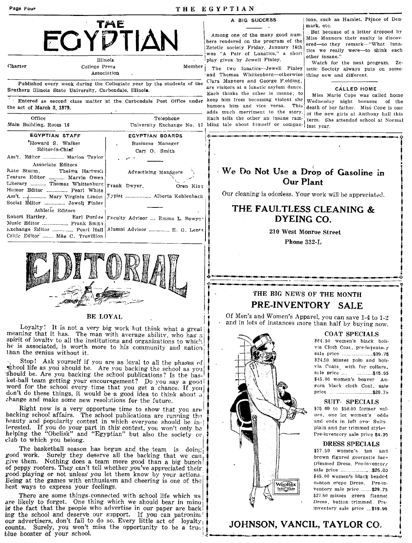| Page Four                                                                                                                                                                       |                                                                                                                  | THE EGYPTIAN                                                                                                                                                                                         |                                                                                                                                                                                                                            |
|---------------------------------------------------------------------------------------------------------------------------------------------------------------------------------|------------------------------------------------------------------------------------------------------------------|------------------------------------------------------------------------------------------------------------------------------------------------------------------------------------------------------|----------------------------------------------------------------------------------------------------------------------------------------------------------------------------------------------------------------------------|
| FGYD                                                                                                                                                                            | TME<br>Illinois                                                                                                  | A BIG SUCCESS<br>Among one of the many good num-<br>bers rendered on the program of the<br>Zetetic society Friday, January 16th<br>was "A Pair of Lunatics," a short<br>play given by Jewell Finley. | ions, such as Hamlet, Prince of Den-<br>mark, etc.<br>But because of a letter dropped by<br>Miss Manners their sanity is discov-<br>ered—so they remark—"What luna-<br>tics we really were-to think each<br>other insane." |
| Charter                                                                                                                                                                         | College Press<br>Member<br>Association<br>Published every week during the Collegiate year by the students of the | The two lunatics-Jewell Finley<br>and Thomas Whittenberg-otherwise<br>Clara Manners and George F.elding.<br>are visitors at a lunatic asylum dance.                                                  | Watch for the next program. Ze-<br>tetic Society always puts on some-<br>thing new and different.<br><b>CALLED HOME</b>                                                                                                    |
| Southern Illinois State University, Carbondale, Illinois.<br>the act of March 3, 1879.<br>Office                                                                                | Entered as second class matter at the Carbondale Post Office under<br>Telephone                                  | Each thinks the other is insane; to<br>keep him from becoming violent she<br>humors him and vice versa. This<br>adds much merriment to the story<br>Each tells the other an insane ram-              | Miss Marie Cope was called home<br>Wednesday night because<br>of the<br>death of her father. Miss Cope is one<br>of the new girls at Anthony hall this                                                                     |
| Main Building, Room 16<br><b>EGYPTIAN STAFF</b>                                                                                                                                 | <b>EGYPTIAN BOARDS</b>                                                                                           | University Exchange No. 17 bling tale about himself or compan- last year.                                                                                                                            | term. She attended school at Normal                                                                                                                                                                                        |
| "Howard S. Walker<br>Editor-in-Chief<br>Ass't. Editor  Marion Taylor                                                                                                            | Business Manager<br>Carl O. Smith                                                                                |                                                                                                                                                                                                      |                                                                                                                                                                                                                            |
| Associate Editors<br>Kate Sturm.<br>Thelma Hartwell<br>Teature Editor  Marvin Owen<br>Literary  Thomas Whittenburg<br>Humor Editor  Pearl White<br>Ass't.  Mary Virginia Linder | Advertising Managers<br>Frank Dwyer.<br>Oren King<br>Typist  Alberta Kohlenbach                                  | We Do Not Use a Drop of Gasoline in<br><b>Our Plant</b>                                                                                                                                              | Our cleaning is odonless. Your work will be appreciated.                                                                                                                                                                   |
| Social Editor  Jewell Finley<br>Athletic Editors<br>Robert Hartley.<br>Music Editor  Frank Smith                                                                                | Earl Purdue   Faculty Advisor  Emma L. Bowyer                                                                    |                                                                                                                                                                                                      | THE FAULTLESS CLEANING &<br>DYEING CO.                                                                                                                                                                                     |
| Critic Editor  Mae C. Trovillion                                                                                                                                                |                                                                                                                  | Phone 332-L                                                                                                                                                                                          | 210 West Monroe Street                                                                                                                                                                                                     |

## THE BIG NEWS OF THE MONTH PRE-INVENTORY SALE

Of Men's and Women's Apparel, you can save 1-4 to 1-2 and in lots of instances more than half by buying now.



\$64.50 women's black bolivia Cloth Coat, pre-invento.y sale price ............................\$39.75 \$24.50 Misses polo and bolivia Coats, with fur collars, \$45.00 women's beaver Augora black cloth Coat, sale price ................................\$29.75

**COAT SPECIALS** 

## SUIT-SPECIALS

\$25.00 to \$50.00 former values, one lot women's odds and ends in left over Suits. plain and fur trimmed styles Pre-inventory sale price \$4.95

#### **DRESS SPECIALS**

\$57.50 women's tan and brown figured georgette lactrimmed Dress, Pre-inventory \$45.00 women's black beaded canton crepe Dress. Pre-inventory sale price ........\$29.75 \$27.50 misses green flannet Dress, button trimmed. Preinventory sale price ...\$19.95

## JOHNSON, VANCIL, TAYLOR CO.



### **BE LOYAL**

Loyalty! It is not a very big work but think what a great meaning that it has. The man with average ability, who has a spirit of lovalty to all the institutions and organizations to which he is associated, is worth more to his community and nation than the genius without it.

Stop! Ask yourself if you are as loyal to all the phases of school life as you should be. Are you backing the school as you should be. Are you backing the school publications? Is the basket-ball team getting your encouragement? Do you say a good word for the school every time that you get a chance. If you don't do these things, it would be a good idea to think about a change and make some new resolutions for the future.

Right now is a very opportune time to show that you are backing school affairs. The school publications are running the heauty and popularity contest in which everyone should be interested. If you do your part in this contest, you won't only be helping the "Obelisk" and "Egyptian" but also the society or club to which you belong.

The basketball season has begun and the team is doing good work. Surely they deserve all the backing that we can give them. Nothing does a team more good than a big bunch! of peppy rooters. They can't tell whether you've appreciated their good playing or not unless you let them know by your actions.<br>Being at the games with enthusiasm and cheering is one of the best ways to express your feelings.

There are some things connected with school life which we are likely to forget. One thing which we should bear in mino is the fact that the people who advertise in our paper are back ing the school and deserve our support. If you can patronize our advertisers, don't fail to do so. Every little act of  $\log \text{alt}_y$ counts. Surely, you won't miss the opportunity to be a true! blue booster of your school.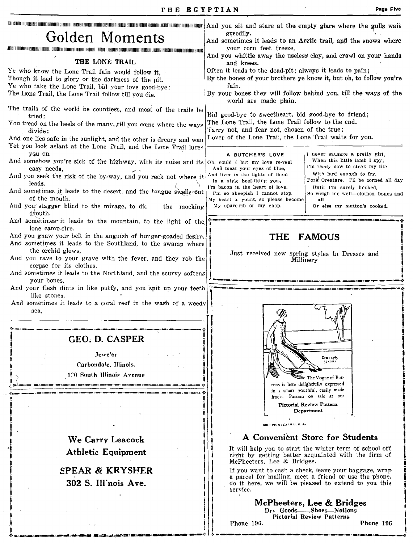|                                                                                                                                       | And you sit and stare at the empty glare where the gulls wait                                                                                |  |  |
|---------------------------------------------------------------------------------------------------------------------------------------|----------------------------------------------------------------------------------------------------------------------------------------------|--|--|
| Golden Moments                                                                                                                        | greedily.<br>And sometimes it leads to an Arctic trail, and the snows where                                                                  |  |  |
|                                                                                                                                       | your torn feet freeze,                                                                                                                       |  |  |
| THE LONE TRAIL                                                                                                                        | And you whittle away the useless clay, and crawl on your hands<br>and knees.                                                                 |  |  |
| Ye who know the Lone Trail fain would follow it.                                                                                      | Often it leads to the dead-pit; always it leads to pain;<br>By the bones of your brothers ye know it, but oh, to follow you're               |  |  |
| Though it lead to glory or the darkness of the pit.<br>Ye who take the Lone Trail, bid your love good-bye;                            | fain.                                                                                                                                        |  |  |
| The Lone Trail, the Lone Trail follow till you die.                                                                                   | By your bones they will follow behind you, till the ways of the<br>world are made plain.                                                     |  |  |
| The trails of the world be countless, and most of the trails be                                                                       |                                                                                                                                              |  |  |
| tried:<br>You tread on the heels of the many, till you come where the ways                                                            | Bid geod-bye to sweetheart, bid good-bye to friend;<br>The Lone Trail, the Lone Trail follow to the end.                                     |  |  |
| divide;                                                                                                                               | Tarry not, and fear not, chosen of the true;<br>I over of the Lone Trail, the Lone Trail waits for you.                                      |  |  |
| And one lies safe in the sunlight, and the other is dreary and wan<br>Yet you look aslant at the Lone Trail, and the Lone Trail lures |                                                                                                                                              |  |  |
| you on.                                                                                                                               | I never sausage a pretty girl.<br>A BUTCHER'S LOVE<br>When this little lamb I spy;                                                           |  |  |
| And somehow you're sick of the highway, with its noise and its ob, could I but my love re-veal<br>easy needs.                         | I'm ready now to steak my life<br>And meat your eyes of blue,                                                                                |  |  |
| And you seek the risk of the by-way, and you reck not where it [And liver in the lights of them<br>leads.                             | With lard enough to fry.<br>Pork Creature. I'll be corned all day<br>In a style beef-fiting you,                                             |  |  |
| And sometimes it leads to the desert. and the tongue swells out                                                                       | I'm bacon in the heart of love,<br>Until I'm surely hooked,<br>I'm so sheepish I cannot stop.<br>So weigh me well-clothes, bones and         |  |  |
| of the mouth.<br>And you stagger blind to the mirage, to die<br>the mocking                                                           | My heart is yours, so please become<br>all-<br>My spare-rib or my chop.<br>Or else my mutton's cooked.                                       |  |  |
| drouth.                                                                                                                               |                                                                                                                                              |  |  |
| And sometimes-it leads to the mountain, to the light of the<br>lone camp-fire.                                                        |                                                                                                                                              |  |  |
| And you gnaw your belt in the anguish of hunger-goaded desire.                                                                        | <b>THE</b><br><b>FAMOUS</b>                                                                                                                  |  |  |
| And sometimes it leads to the Southland, to the swamp where<br>the orchid glows,                                                      | Just received new spring styles in Dresses and                                                                                               |  |  |
| And you rave to your grave with the fever, and they rob the<br>corpse for its clothes.                                                | Millinery                                                                                                                                    |  |  |
| And sometimes it leads to the Northland, and the scurvy softens                                                                       |                                                                                                                                              |  |  |
| your bones.<br>And your flesh dints in like putty, and you spit up your teeth                                                         |                                                                                                                                              |  |  |
| like stones.                                                                                                                          |                                                                                                                                              |  |  |
| And sometimes it leads to a coral reef in the wash of a weedy<br>sea,                                                                 |                                                                                                                                              |  |  |
|                                                                                                                                       |                                                                                                                                              |  |  |
|                                                                                                                                       |                                                                                                                                              |  |  |
| <b>GEO, D. CASPER</b>                                                                                                                 |                                                                                                                                              |  |  |
| Jewe'er                                                                                                                               | Dress 1365<br>35 cents                                                                                                                       |  |  |
| Carbondale, Illinois.                                                                                                                 |                                                                                                                                              |  |  |
| 120 South Illinois Avenue                                                                                                             | The Vogue of But-<br>tons is here delightfully expressed                                                                                     |  |  |
|                                                                                                                                       | in a smart vouthful, easily made<br>frock. Pattern on sale at our                                                                            |  |  |
|                                                                                                                                       | Pictorial Review Pattern                                                                                                                     |  |  |
|                                                                                                                                       | Department                                                                                                                                   |  |  |
|                                                                                                                                       | -PRINTED IN U.S.A.                                                                                                                           |  |  |
| We Carry Leacock                                                                                                                      | A Convenient Store for Students                                                                                                              |  |  |
| <b>Athletic Equipment</b>                                                                                                             | It will help you to start the winter term of school off<br>right by getting better acquainted with the firm of<br>McPheeters, Lee & Bridges. |  |  |
| <b>SPEAR &amp; KRYSHER</b>                                                                                                            | If you want to cash a check, leave your baggage, wrap                                                                                        |  |  |
| 302 S. Ill'nois Ave.                                                                                                                  | a parcel for mailing, meet a friend or use the phone,<br>do it here, we will be pieased to extend to you this<br>service.                    |  |  |
|                                                                                                                                       | McPheeters, Lee & Bridges                                                                                                                    |  |  |
|                                                                                                                                       | Dry Goods-Shoes-Notions<br>Pictorial Review Patterns                                                                                         |  |  |
|                                                                                                                                       | Phone 196.<br>Phone 196                                                                                                                      |  |  |

,,\_ "'~"'-"'''''-''~I\_/'\_tl'''''ji\_l1\_lr~\Q.''~I\_'\\_II''II'''' \_\_ 'I'''II4IIal~'-'·~· .!. \_\_ ...... \_\_\_\_\_ , \_\_\_\_\_\_ .\_.\_,\_>-.n\_'~ \_\_ .\_,\_.:~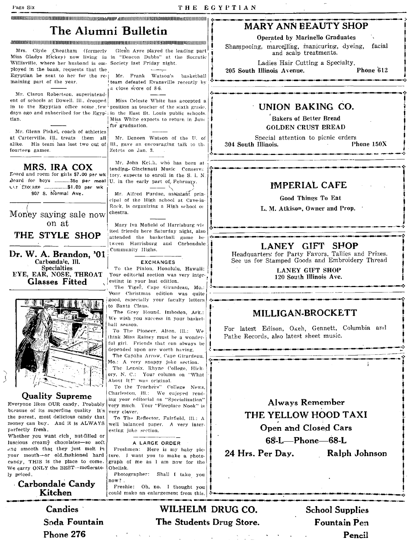## The Alumni Bulletin

### arindone ray production in the construction of the contraction of the contraction of the contraction of the contraction of the contraction of the contraction of the contraction of the contraction of the contraction of the

Mrs. Clyde Cheatham (formerly Miss Gladys Hickey) now living in in "Deacon Dubbs" at the Socratic Willisville, where her husband is em- Society last Friday night. ployed in the bank, requests that the Egyptian be sent to her for the remaining part of the year.

Mr. Claron Robertson, superintendent of schools at Dowell, Ill., dropped in to the Egyptian office some few<sup>1</sup> position as teacher of the sixth grade. days ago and subscribed for the Egypt in the East St. Louis public schools. tian.

Mr. Glenn Fishel, coach of athletics at Carterville, Ill., treats them all fourteen games.

MRS. IRA COX Loard and room for girls \$7.00 per wk Board for boys ............35c per meal Usr Stolage .................\$1.00 per wk 907 S. Normal Ave.

## Money saying sale now on at

THE STYLE SHOP

Dr. W. A. Brandon, '01 Carbondale. Ill. **Specialties** EYE, EAR, NOSE, THROAT **Glasses Fitted** 



### **Quality Supreme**

Everyone likes OUR candy, Probably because of its superfine quality It's the purest, most delicious candy that money can buy. And it is ALWAYS perfectly fresh.

Whether you want rich, nut-filled or luscious creamy chocolates-so soft and smooth that they just melt in your mouth-or old fashioned hard candy, THIS is the place to come. We carry ONLY the BEST-moderately priced.

Carbondale Candy Kitchen

> **Candies** Soda Fountain Phone 276

Glenn Ayre played the leading part

Mr. Frank Watson's basketball team defeated Evansville recently by a close score of 8-6.

Miss Celeste White has accepted a Miss White expects to return in June for graduation.

Mr. Deneen Watson of the U. of alike. His team has lost two out of  $\vert$  III., gave an encouraging talk to the Zetets on Jan. 3.

> Mr. John Kei.h, who has been at tending Gincinnati Music Conserva tory, expects to enroll in the S. I. N. U. in the early part of, February.

> Mr. Alfred Purdue, assistant principal of the High school at Cave-in-Rock, is organizing a High school or chestra.

Mary Iva Mofield of Harrisburg vis ited friends here Saturday night, also attended the basketball game between Harrisburg and Carbondale Community Highs.

**EXCHANGES** 

To the Pinion, Honolulu, Hawaii: Your editorial section was very interesting in your last edition.

The Tiger, Cape Girardeau, Mo.: Your Christmas edition was quite good, especially your faculty letters to Santa Claus.

The Grey Hound, Imboden, Ark.: We wish you success in your basket hall season.

To The Pioneer, Alton, Ill.: We think Miss Rainey must be a wonderful girl. Friends that can always be depended upon are worth having.

The Capaha Arrow, Cape Girardeau, Mo.: A very snappy joke section. The Lenoix, Rhyne College, Hick-

ory, N. C.: Your column on "What About It?" was original.

To the Teachers" College News, Charleston, III.: We enjoyed reading your editorial on "Specialization" very much. Your "Fireplace Nook" is very claver.

To The Reflector, Fairfield, Ill.: A well balanced paper. A very interesting joke section.

### A LARGE ORDER

Freshmen: Here is my baby picture. I want you to make a photograph of me as I am now for the Obelisk.

Photographer: Shall I take you now?

Freshie: Oh, no. I thought you could make an enlargement from this.

## **MARY ANN REAUTY SHOP**

**Operated by Marinello Graduates** 

Shampooing, marcelling, manicuring, dyeing, facial and scalp treatments.

Ladies Hair Cutting a Specialty. 205 South Illinois Avenue.

Phone 612

## UNION BAKING CO.

**Bakers of Better Bread GOLDEN CRUST EREAD** 

Special attention to picnic orders 304 South Illinois. Phone  $150X$ 

## **IMPERIAL CAFE**

**Good Things To Eat** 

L. M. Atkison, Owner and Prop.

## LANEY GIFT SHOP

Headquarters for Party Favors, Tallies and Prizes. See us for Stamped Goods and Embroidery Thread

> **LANEY GIFT SHOP** 120 South Illinois Ave.

## MILLIGAN-BROCKETT

For latest Edison, Okeh, Gennett, Columbia and Pathe Records, also latest sheet music.



68-L-Phone-68-L

24 Hrs. Per Dav.

Ralph Johnson

WILHELM DRUG CO. The Students Drug Store.

**School Supplies** Fountain Pen Pencil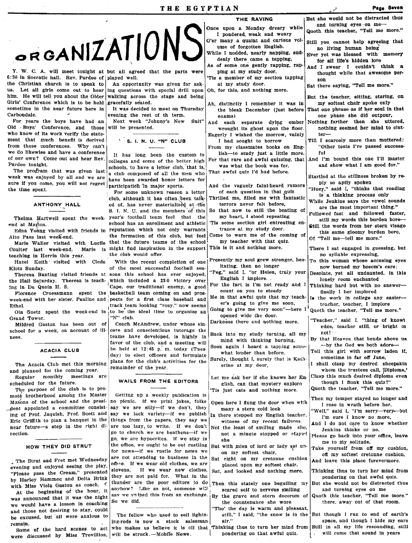|                                                                            |                                                                                                             | THE RAVING                                                             | But she would not be distracted thus                                                                                                              |
|----------------------------------------------------------------------------|-------------------------------------------------------------------------------------------------------------|------------------------------------------------------------------------|---------------------------------------------------------------------------------------------------------------------------------------------------|
| ORGANIZATIONS                                                              |                                                                                                             | Once upon a Monday dreary while                                        | and turning eyes on me-<br>Quoth this teacher, "Tell me more."                                                                                    |
|                                                                            |                                                                                                             | I pondered weak and weary                                              |                                                                                                                                                   |
|                                                                            |                                                                                                             | O'er many a quaint and curious vol-                                    | Still you cannot help agreeing that                                                                                                               |
|                                                                            |                                                                                                             | ume of forgotten English.                                              | no living human being                                                                                                                             |
|                                                                            |                                                                                                             | While I nodded, nearly napping, sud-<br>denly there came a tapping,    | Ever yet was blessed with memory                                                                                                                  |
|                                                                            |                                                                                                             | As of some one gently rapping, rap-                                    | for all life's hidden lore                                                                                                                        |
| Y. W. C. A. will meet tonight at but all agreed that the parts were        |                                                                                                             | ping at my study door,                                                 | And I swear I couldn't think a                                                                                                                    |
| :30 in Socratic hall. Rev. Pardee of played well.                          |                                                                                                             | 'Tis a member of my section tapping                                    | thought while that awesome per-                                                                                                                   |
| he Christian church is to speak to                                         | An opportunity was given for ask-                                                                           | at my study door.                                                      | son<br>Sat there saying, "Tell me more."                                                                                                          |
| is. Let all girls come out to hear ing questions with special drill upon   |                                                                                                             | Oh, for this, and nothing more.                                        |                                                                                                                                                   |
| nim. He will tell you about the Older                                      | walking across the stage and being                                                                          |                                                                        | But the teacher, sitting, staring, on                                                                                                             |
| Girls' Conference which is to be held gracefully seated.                   |                                                                                                             | Ah, distinctly I remember it was in                                    | my softest chair spoke only                                                                                                                       |
| sometime in the near future here in                                        | It was decided to meet on Thursday                                                                          | the bleak December (just before                                        | That one phrase as if her soul in that                                                                                                            |
| Carbondale.                                                                | evening the rest of the term.                                                                               | exams)                                                                 | one phase she did outpour,                                                                                                                        |
| For years the boys have had an                                             | Next week "Johnny's New<br>Suit"<br>will be presented.                                                      | And each separate dying ember                                          | Nothing farther then she uttered,                                                                                                                 |
| Old Boys' Conference, and those<br>who know of its work verify the state-  |                                                                                                             | wrought its ghost upon the floor.                                      | nothing seemed her mind to clut-<br>$ter-$                                                                                                        |
| ment that much benefit is derived                                          | ' S. I. N. U. "N" CLUB                                                                                      | Eagerly I wished the morrow, vainly<br>I had sought to borrow          | Till I scarcely more than muttered:                                                                                                               |
| from these conferences. Why can't                                          |                                                                                                             | From my classmates books on Eng-                                       | "Other tests I've passed success-                                                                                                                 |
| we do likewise and have a conference                                       | It has long been the custom in                                                                              | lish—to study just a little more.                                      | ful                                                                                                                                               |
| of our own? Come out and hear Rev.                                         | colleges and some of the better high                                                                        |                                                                        | For that rare and awful quizzing, that   And I'm bound this one I'll master                                                                       |
| Pardee tonight.                                                            | schools, to have a letter club, that is,                                                                    | was what the book was for.                                             | and show what I am good for."                                                                                                                     |
| The program that was given last                                            | a club composed of all the men who                                                                          | That awful quiz I'd had before.                                        |                                                                                                                                                   |
| week was enjoyed by all and we are                                         | have been awarded honor letters for                                                                         |                                                                        | Startled at the stillness broken by re-                                                                                                           |
| sure if you come, you will not regret participation in major sports.       |                                                                                                             | And the vaguely faint-heard rumors                                     | ply so aptly spoken<br>"Huey," said I, "thinks that reading                                                                                       |
| the time spent.                                                            | For some unknown reason a letter                                                                            | of each question in that quiz                                          | is a thinking process only                                                                                                                        |
|                                                                            | club, although it has often been talk-                                                                      | Thrilled me, filled me with fantastic                                  | While Jenkins says the vowel sounds                                                                                                               |
| ANTHONY HALL                                                               | ed of, has never materialized at the                                                                        | terrors never felt before,                                             | are the most important thing."                                                                                                                    |
|                                                                            | S. I. N. U. and the members of this                                                                         | So that now to still the beating of<br>my heart, I stood repeating     | Followed fast and followed faster,                                                                                                                |
|                                                                            | Thelma Hartwell spent the week- year's football team feel that the<br>school has an enrollment and athletic | Tis some section girl entreating en-                                   | still my words this burden bore-                                                                                                                  |
| end at Marion.                                                             | Edna Young visited with friends in reputation which not only warrants                                       | trance at my study door.                                               | Still the words from her stern visage                                                                                                             |
| Alto Pass last week-end.                                                   | the formation of this club, but feel                                                                        | Come to warn me of the coming of                                       | this same gloomy burden bore,                                                                                                                     |
| Marie Waller visited with Lucile                                           | that the future teams of the school                                                                         | my teacher with that quiz.                                             | Of "Tell me-tell me more."                                                                                                                        |
| Coulter last week-end.                                                     | Marie is might find inspiration in the support                                                              | This is it and nothing more.                                           | There I sat engaged in guessing, but                                                                                                              |
| teaching in Herrin this year.                                              | the club would offer.                                                                                       |                                                                        | no syllable expressing,                                                                                                                           |
| Hazel Keith visited with Cleda                                             | With the recent completion of one                                                                           | Presently my soul grew stronger, hes-                                  | To this woman whose accusing eyes                                                                                                                 |
| Klotz Sunday.                                                              | of the most successful football sea-                                                                        | itating, then no longer                                                | now burned my bosom's care;                                                                                                                       |
|                                                                            | Theresa Bunting visited friends at sons this school has ever enjoyed,                                       |                                                                        | "Peg," said I, "or Helen, truly your Desolate, yet all undaunted, in this                                                                         |
| the Hall Saturday. Theresa is teach-which included a 23-0 victory over     |                                                                                                             | English I implore. .<br>For the fact is I'm not ready and I            | lonely room enchanted                                                                                                                             |
| ing in Du Quoin H. S.                                                      | Cape, our traditional enemy, a good                                                                         | count on you to steady                                                 | Thinking hard but with no answer-<br>finally I her implored                                                                                       |
|                                                                            | Florence Croessmann spent the basketball team coming on and pros-                                           |                                                                        | Me in that awful quiz that my teach- In the work in college any easier-                                                                           |
| week-end with her sister, Pauline and pects for a first class baseball and | track team looking "rosy," now seems                                                                        | er's going to give me soon,                                            | teacher, teacher, I implore                                                                                                                       |
| Ethel.                                                                     | Ola Goetz spent the week-end in to be the ideal time to organize an                                         | Going to give me very soon"-here I' Quoth the teacher, "Tell me more." |                                                                                                                                                   |
| Grand Tower.                                                               | "N" club.                                                                                                   | opened wide the door.                                                  |                                                                                                                                                   |
| Mildred Gaston has been out of                                             | Coach McAndrew, under whose sin-                                                                            | Darkness there and nothing more.                                       | "Teacher," said I, "thing of knowl                                                                                                                |
| school for a week, on account of ill-                                      | cere and conscientious tutorage the                                                                         |                                                                        | edge, teacher still, or bright or<br>not!                                                                                                         |
| ness.                                                                      | teams have developed, is highly in                                                                          | Back into my study turning, all my<br>mind with thinking burning,      | By that Heaven that bends above us                                                                                                                |
|                                                                            | favor of the club, and a meeting will                                                                       | Soon again I heard a tapping some-                                     | $-$ by the God we both adore-                                                                                                                     |
| ACACIA CLUB                                                                | be held at 12:45 p.m. today (Tues-                                                                          | what louder than before.                                               | Tell this girl with sorrow laden if,                                                                                                              |
|                                                                            | day) to elect officers and formulate                                                                        | Surely, thought I, surely that is Kath-                                | sometime in far off June.                                                                                                                         |
| The Acacia Club met this morning                                           | plans for the club's activities for the                                                                     | erine at my door,                                                      | I shall clasp my desired sheepskin                                                                                                                |
| and planned for the coming year.                                           | remainder of the year.                                                                                      |                                                                        | whom the trustees call, 'Diploma,'                                                                                                                |
| Regular monthly meetings are                                               | WAILS FROM THE EDITORS                                                                                      | Let me ask her if she knows her En-                                    | Clasp this much desired diploma even                                                                                                              |
| scheduled for the future.                                                  |                                                                                                             | glish, can that mystery explore                                        | though I flunk this quiz?"<br>Quoth the teacher, "Tell me more."                                                                                  |
| The purpose of the club is to pro-<br>moté brotherhood among the Master    | Getting up a weekly publication is                                                                          | Tis just cats and nothing more.                                        |                                                                                                                                                   |
| Masons of the school and the presi-                                        | no picnic. If we print jokes, folks                                                                         |                                                                        | Then my temper stayed no longer and                                                                                                               |
| dent appointed a committee consist-                                        | say we are silly-if we don't, they                                                                          | Open here I flung the door when with<br>many a stern cold look         | I rose in wrath before her.                                                                                                                       |
| ing of Prof. Jaquish, Prof. Scott and                                      | say we lack variety-if we publish                                                                           | In there stepped my English teacher.                                   | "Well," said I, "I'm sorry—very—but                                                                                                               |
| Eric Griffith to plan a banquet in the                                     | things from the papers, they say we                                                                         | witness of my recent failures.                                         | I'm sure I know no more,                                                                                                                          |
| near future-a step in the right di-                                        | are too lazy to write. If we don't                                                                          | Not the least of smiling made she,                                     | And I do not care to know whether                                                                                                                 |
| rection.                                                                   | go to church we are heathens-if we                                                                          | not a minute stopped or stayed                                         | Jenkins thinks or no.<br>Please go back into your office, leave                                                                                   |
|                                                                            | go, we are hypocrites. If we stay in                                                                        | she                                                                    | me to my solitude.                                                                                                                                |
| HOW THEY DID STRUT                                                         | the office, we ought to be out rustling                                                                     | But with mien of lord or lady sat up-                                  | Take yourself from off my cushion,                                                                                                                |
|                                                                            | for news--if we rustle for news we                                                                          | on my softest chair,                                                   | off my softest cretonne cushion.                                                                                                                  |
| The Strut and Fret met Wednesday                                           | are not attending to business in the<br>office. If we wear old clothes, we are                              | Sat right on my cretonne cushion                                       | And leave this place forevermore.                                                                                                                 |
| evening and enjoyed seeing the play.                                       | slovens. If we wear new clothes,                                                                            | placed upon my softest chair.                                          | Thinking thus to turn her mind from                                                                                                               |
| "Please pass the Cream," presented                                         | they are not paid for. What in the                                                                          | Sat, and looked and nothing more.                                      | pondering on that awful quiz.                                                                                                                     |
| by Harley Hammoc and Delta Brink                                           | thunder are the poor editors to do                                                                          | Then this stately one beguiling my                                     | But she would not be distracted thus                                                                                                              |
| with Miss Viola Gaston as coach.<br>At the beginning of the hour, it       | anyhow? Like as not, someone will                                                                           | scared self to nervous smiling                                         | and turning eyes on me                                                                                                                            |
| was announced that it was the night                                        |                                                                                                             | sav we swiped this from an exchange. By the grave and stern decorum of | Quoth this teacher, "Tell me more."                                                                                                               |
| we would have a lesson in coaching                                         | So we did.                                                                                                  | the countenance she wore                                               | there, away out of that room.                                                                                                                     |
| and those not desiring to stay, could                                      |                                                                                                             | "Tho' the day is warm and pleasant,                                    |                                                                                                                                                   |
| be excused, but all were anxious to                                        | The fellow who used to sell lightn-                                                                         | still," I said, "the snow is in the                                    | But though I run to end of earth's                                                                                                                |
| remain.                                                                    | ing-rods is now a stock salesman                                                                            | air."                                                                  | space, and though I hide my ears                                                                                                                  |
| Some of the hard scenes to act                                             |                                                                                                             |                                                                        | who makes us believe it is oil that Thinking thus to turn her mind from Still in all my life resounding, still<br>. will come that sound in years |
| were discussed by Miss Trovillion,                                         | will be struck. - Mobile News.                                                                              | pondering on that awful quiz.                                          |                                                                                                                                                   |

## ANTHONY HALL ed

### HOW THE¥ DID STRUT